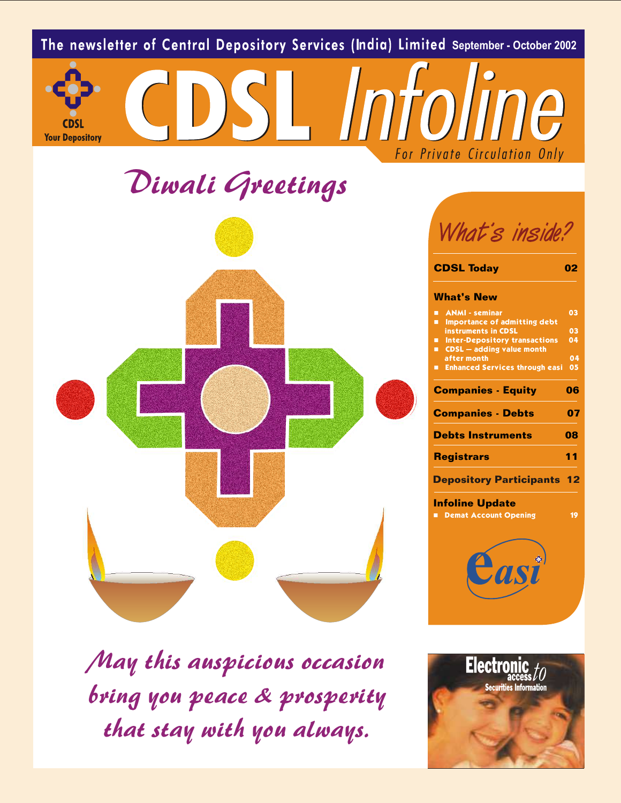

*May this auspicious occasion bring you peace & prosperity that stay with you always.*

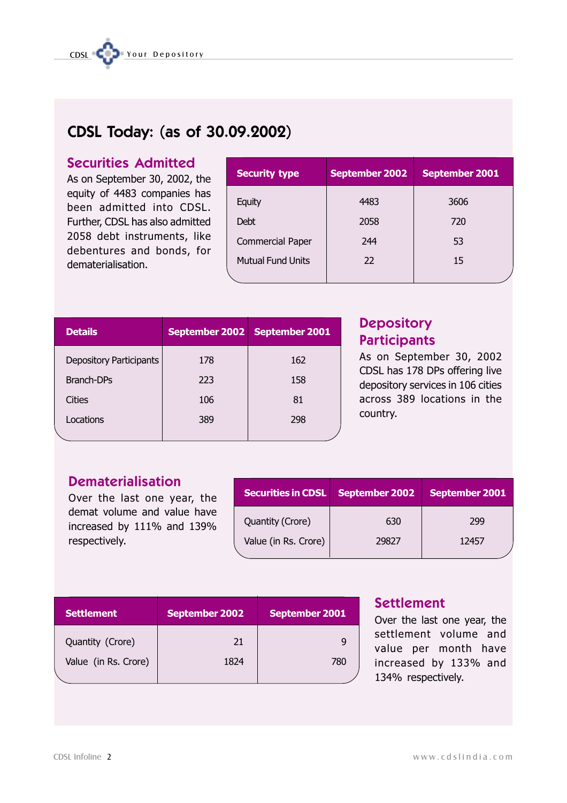| <b>Dematerialisation</b><br>Over the last one year, the                    |                       |    | <b>Securities in CDSL</b>                |   | <b>September 2002</b> | September                                   |
|----------------------------------------------------------------------------|-----------------------|----|------------------------------------------|---|-----------------------|---------------------------------------------|
| demat volume and value have<br>increased by 111% and 139%<br>respectively. |                       |    | Quantity (Crore)<br>Value (in Rs. Crore) |   | 630<br>29827          | 299<br>12457                                |
|                                                                            |                       |    |                                          |   | <b>Settlement</b>     |                                             |
| <b>Settlement</b><br>Quantity (Crore)                                      | <b>September 2002</b> | 21 | September 2001                           | 9 |                       | Over the last one year<br>settlement volume |

Value (in Rs. Crore) 1824 1824 780

# Settlement

Over the last one year, the settlement volume and value per month have increased by 133% and 134% respectively.

# CDSL Today: (as of 30.09.2002)

# Securities Admitted

As on September 30, 2002, the equity of 4483 companies has been admitted into CDSL. Further, CDSL has also admitted 2058 debt instruments, like debentures and bonds, for dematerialisation.

| <b>Security type</b>     | <b>September 2002</b> | September 2001 |
|--------------------------|-----------------------|----------------|
| Equity                   | 4483                  | 3606           |
| <b>Debt</b>              | 2058                  | 720            |
| Commercial Paper         | 244                   | 53             |
| <b>Mutual Fund Units</b> | 22                    | 15             |
|                          |                       |                |

| <b>Details</b>                 |     | September 2002 September 2001 |
|--------------------------------|-----|-------------------------------|
| <b>Depository Participants</b> | 178 | 162                           |
| <b>Branch-DPs</b>              | 223 | 158                           |
| Cities                         | 106 | 81                            |
| Locations                      | 389 | 298                           |
|                                |     |                               |

# **Depository Participants**

As on September 30, 2002 CDSL has 178 DPs offering live depository services in 106 cities across 389 locations in the country.

nber 2002 September 2001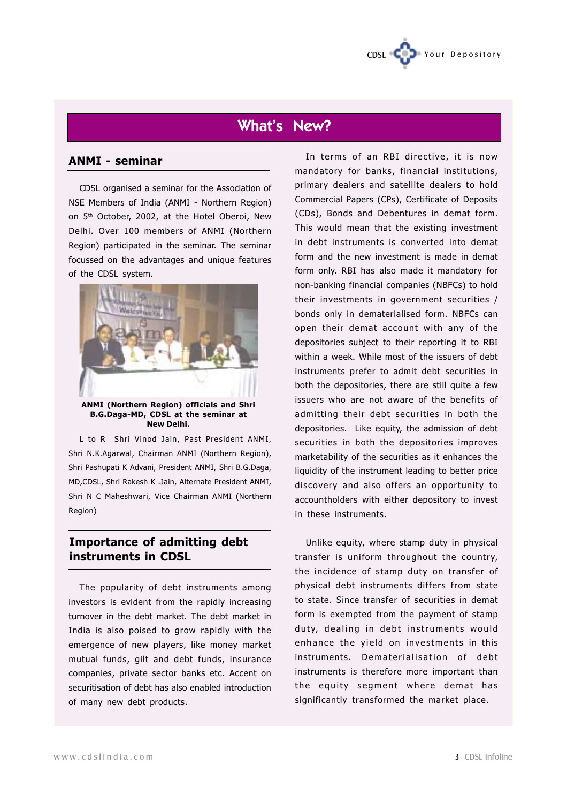# What's New?

### ANMI - seminar

CDSL organised a seminar for the Association of NSE Members of India (ANMI - Northern Region) on 5<sup>th</sup> October, 2002, at the Hotel Oberoi, New Delhi. Over 100 members of ANMI (Northern Region) participated in the seminar. The seminar focussed on the advantages and unique features of the CDSL system.



B.G.Daga-MD, CDSL at the seminar at New Delhi.

L to R Shri Vinod Jain, Past President ANMI, Shri N.K.Agarwal, Chairman ANMI (Northern Region), Shri Pashupati K Advani, President ANMI, Shri B.G.Daga, MD,CDSL, Shri Rakesh K .Jain, Alternate President ANMI, Shri N C Maheshwari, Vice Chairman ANMI (Northern Region)

### Importance of admitting debt instruments in CDSL

The popularity of debt instruments among investors is evident from the rapidly increasing turnover in the debt market. The debt market in India is also poised to grow rapidly with the emergence of new players, like money market mutual funds, gilt and debt funds, insurance companies, private sector banks etc. Accent on securitisation of debt has also enabled introduction of many new debt products.

In terms of an RBI directive, it is now mandatory for banks, financial institutions, primary dealers and satellite dealers to hold Commercial Papers (CPs), Certificate of Deposits (CDs), Bonds and Debentures in demat form. This would mean that the existing investment in debt instruments is converted into demat form and the new investment is made in demat form only. RBI has also made it mandatory for non-banking financial companies (NBFCs) to hold their investments in government securities / bonds only in dematerialised form. NBFCs can open their demat account with any of the depositories subject to their reporting it to RBI within a week. While most of the issuers of debt instruments prefer to admit debt securities in both the depositories, there are still quite a few issuers who are not aware of the benefits of admitting their debt securities in both the depositories. Like equity, the admission of debt securities in both the depositories improves marketability of the securities as it enhances the liquidity of the instrument leading to better price discovery and also offers an opportunity to accountholders with either depository to invest in these instruments.

Your Depository

Unlike equity, where stamp duty in physical transfer is uniform throughout the country, the incidence of stamp duty on transfer of physical debt instruments differs from state to state. Since transfer of securities in demat form is exempted from the payment of stamp duty, dealing in debt instruments would enhance the yield on investments in this instruments. Dematerialisation of debt instruments is therefore more important than the equity segment where demat has significantly transformed the market place.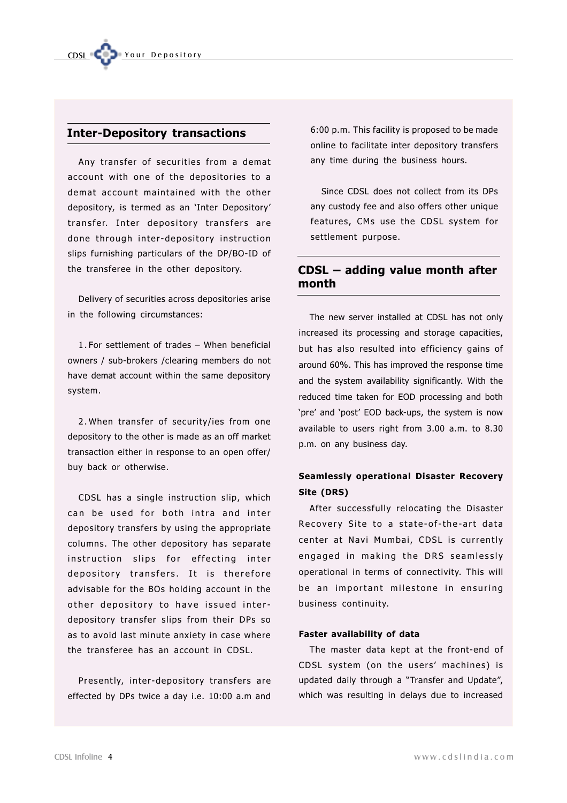### Inter-Depository transactions

Any transfer of securities from a demat account with one of the depositories to a demat account maintained with the other depository, is termed as an 'Inter Depository' transfer. Inter depository transfers are done through inter-depository instruction slips furnishing particulars of the DP/BO-ID of the transferee in the other depository.

Delivery of securities across depositories arise in the following circumstances:

1.For settlement of trades – When beneficial owners / sub-brokers /clearing members do not have demat account within the same depository system.

2.When transfer of security/ies from one depository to the other is made as an off market transaction either in response to an open offer/ buy back or otherwise.

CDSL has a single instruction slip, which can be used for both intra and inter depository transfers by using the appropriate columns. The other depository has separate instruction slips for effecting inter depository transfers. It is therefore advisable for the BOs holding account in the other depository to have issued interdepository transfer slips from their DPs so as to avoid last minute anxiety in case where the transferee has an account in CDSL.

Presently, inter-depository transfers are effected by DPs twice a day i.e. 10:00 a.m and

6:00 p.m. This facility is proposed to be made online to facilitate inter depository transfers any time during the business hours.

Since CDSL does not collect from its DPs any custody fee and also offers other unique features, CMs use the CDSL system for settlement purpose.

## CDSL – adding value month after month

The new server installed at CDSL has not only increased its processing and storage capacities, but has also resulted into efficiency gains of around 60%. This has improved the response time and the system availability significantly. With the reduced time taken for EOD processing and both 'pre' and 'post' EOD back-ups, the system is now available to users right from 3.00 a.m. to 8.30 p.m. on any business day.

### Seamlessly operational Disaster Recovery Site (DRS)

After successfully relocating the Disaster Recovery Site to a state-of-the-art data center at Navi Mumbai, CDSL is currently engaged in making the DRS seamlessly operational in terms of connectivity. This will be an important milestone in ensuring business continuity.

### Faster availability of data

The master data kept at the front-end of CDSL system (on the users' machines) is updated daily through a "Transfer and Update", which was resulting in delays due to increased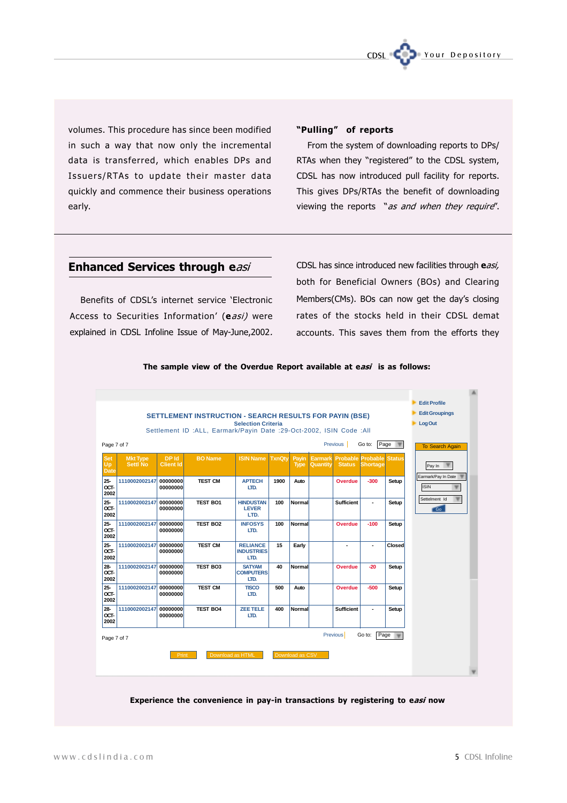

volumes. This procedure has since been modified in such a way that now only the incremental data is transferred, which enables DPs and Issuers/RTAs to update their master data quickly and commence their business operations early.

### "Pulling" of reports

From the system of downloading reports to DPs/ RTAs when they "registered" to the CDSL system, CDSL has now introduced pull facility for reports. This gives DPs/RTAs the benefit of downloading viewing the reports "as and when they require".

### Enhanced Services through easi

Benefits of CDSL's internet service 'Electronic Access to Securities Information' (easi) were explained in CDSL Infoline Issue of May-June,2002.

CDSL has since introduced new facilities through easi, both for Beneficial Owners (BOs) and Clearing Members(CMs). BOs can now get the day's closing rates of the stocks held in their CDSL demat accounts. This saves them from the efforts they



The sample view of the Overdue Report available at easi is as follows:

Experience the convenience in pay-in transactions by registering to easi now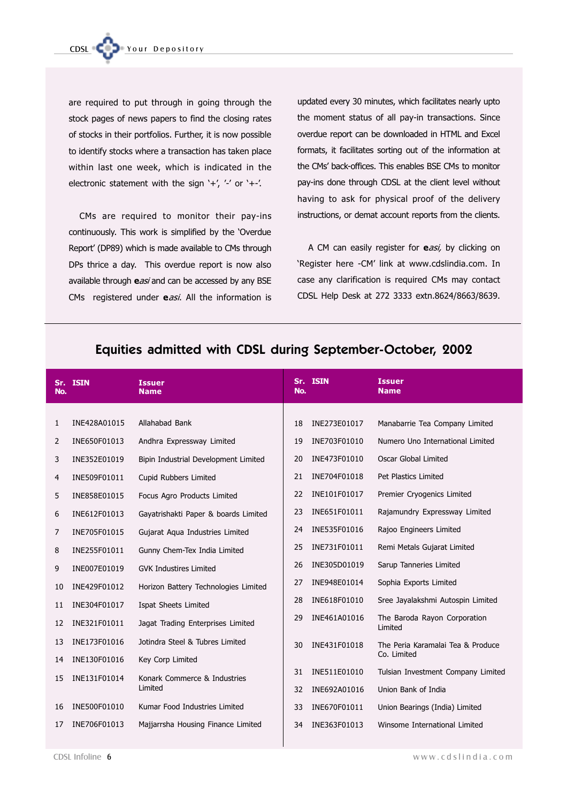are required to put through in going through the stock pages of news papers to find the closing rates of stocks in their portfolios. Further, it is now possible to identify stocks where a transaction has taken place within last one week, which is indicated in the electronic statement with the sign '+', '-' or '+-'.

CMs are required to monitor their pay-ins continuously. This work is simplified by the 'Overdue Report' (DP89) which is made available to CMs through DPs thrice a day. This overdue report is now also available through easi and can be accessed by any BSE CMs registered under easi. All the information is

updated every 30 minutes, which facilitates nearly upto the moment status of all pay-in transactions. Since overdue report can be downloaded in HTML and Excel formats, it facilitates sorting out of the information at the CMs' back-offices. This enables BSE CMs to monitor pay-ins done through CDSL at the client level without having to ask for physical proof of the delivery instructions, or demat account reports from the clients.

A CM can easily register for easi, by clicking on 'Register here -CM' link at www.cdslindia.com. In case any clarification is required CMs may contact CDSL Help Desk at 272 3333 extn.8624/8663/8639.

| No. | Sr. ISIN     | <b>Issuer</b><br><b>Name</b>         | Sr.<br>No. | <b>ISIN</b>  | <b>Issuer</b><br><b>Name</b>            |
|-----|--------------|--------------------------------------|------------|--------------|-----------------------------------------|
|     |              |                                      |            |              |                                         |
| 1   | INE428A01015 | Allahabad Bank                       | 18         | INE273E01017 | Manabarrie Tea Company Limited          |
| 2   | INE650F01013 | Andhra Expressway Limited            | 19         | INE703F01010 | Numero Uno International Limited        |
| 3   | INE352E01019 | Bipin Industrial Development Limited | 20         | INE473F01010 | Oscar Global Limited                    |
| 4   | INE509F01011 | Cupid Rubbers Limited                | 21         | INE704F01018 | Pet Plastics Limited                    |
| 5   | INE858E01015 | Focus Agro Products Limited          | 22         | INE101F01017 | Premier Cryogenics Limited              |
| 6   | INE612F01013 | Gayatrishakti Paper & boards Limited | 23         | INE651F01011 | Rajamundry Expressway Limited           |
| 7   | INE705F01015 | Gujarat Aqua Industries Limited      | 24         | INE535F01016 | Rajoo Engineers Limited                 |
| 8   | INE255F01011 | Gunny Chem-Tex India Limited         | 25         | INE731F01011 | Remi Metals Gujarat Limited             |
| 9   | INE007E01019 | <b>GVK Industires Limited</b>        | 26         | INE305D01019 | Sarup Tanneries Limited                 |
| 10  | INE429F01012 | Horizon Battery Technologies Limited | 27         | INE948E01014 | Sophia Exports Limited                  |
| 11  | INE304F01017 | Ispat Sheets Limited                 | 28         | INE618F01010 | Sree Jayalakshmi Autospin Limited       |
| 12  | INE321F01011 | Jagat Trading Enterprises Limited    | 29         | INE461A01016 | The Baroda Rayon Corporation<br>Limited |
| 13  | INE173F01016 | Jotindra Steel & Tubres Limited      | 30         | INE431F01018 | The Peria Karamalai Tea & Produce       |
| 14  | INE130F01016 | Key Corp Limited                     |            |              | Co. Limited                             |
| 15  | INE131F01014 | Konark Commerce & Industries         | 31         | INE511E01010 | Tulsian Investment Company Limited      |
|     |              | Limited                              | 32         | INE692A01016 | Union Bank of India                     |
| 16  | INE500F01010 | Kumar Food Industries Limited        | 33         | INE670F01011 | Union Bearings (India) Limited          |
| 17  | INE706F01013 | Majjarrsha Housing Finance Limited   | 34         | INE363F01013 | Winsome International Limited           |
|     |              |                                      |            |              |                                         |

## Equities admitted with CDSL during September-October, 2002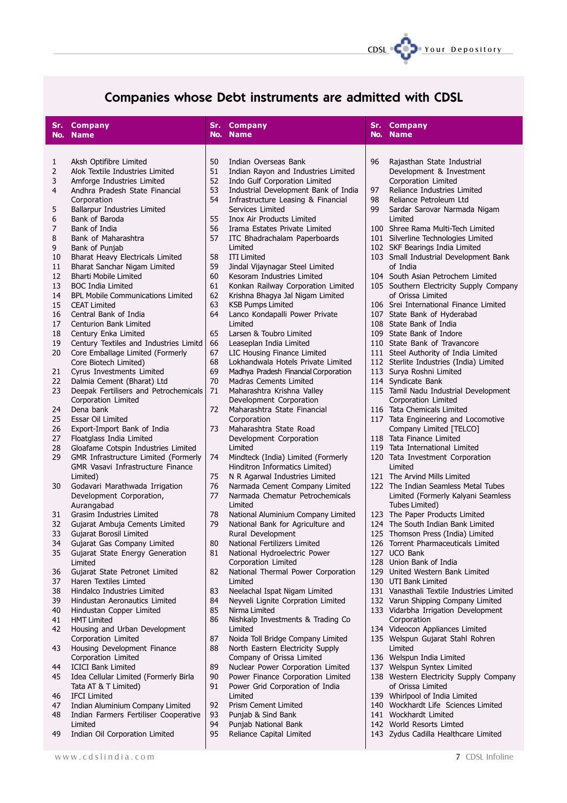

# Companies whose Debt instruments are admitted with CDSL

| Sr.      | <b>Company</b>                                                       | Sr.      | <b>Company</b>                                                         | Sr. | <b>Company</b>                                                           |
|----------|----------------------------------------------------------------------|----------|------------------------------------------------------------------------|-----|--------------------------------------------------------------------------|
| No.      | <b>Name</b>                                                          | No.      | <b>Name</b>                                                            | No. | <b>Name</b>                                                              |
|          |                                                                      |          |                                                                        |     |                                                                          |
|          | Aksh Optifibre Limited                                               | 50       | Indian Overseas Bank                                                   | 96  | Rajasthan State Industrial                                               |
| 1<br>2   | Alok Textile Industries Limited                                      | 51       | Indian Rayon and Industries Limited                                    |     | Development & Investment                                                 |
| 3        | Amforge Industries Limited                                           | 52       | Indo Gulf Corporation Limited                                          |     | Corporation Limited                                                      |
| 4        | Andhra Pradesh State Financial                                       | 53       | Industrial Development Bank of India                                   | 97  | Reliance Industries Limited                                              |
|          | Corporation                                                          | 54       | Infrastructure Leasing & Financial                                     | 98  | Reliance Petroleum Ltd                                                   |
| 5        | Ballarpur Industries Limited                                         |          | Services Limited                                                       | 99  | Sardar Sarovar Narmada Nigam                                             |
| 6        | Bank of Baroda                                                       | 55       | <b>Inox Air Products Limited</b>                                       |     | Limited                                                                  |
| 7        | Bank of India                                                        | 56       | Irama Estates Private Limited                                          |     | 100 Shree Rama Multi-Tech Limited                                        |
| 8        | Bank of Maharashtra                                                  | 57       | ITC Bhadrachalam Paperboards                                           |     | 101 Silverline Technologies Limited                                      |
| 9        | Bank of Punjab                                                       |          | Limited                                                                |     | 102 SKF Bearings India Limited                                           |
| 10       | Bharat Heavy Electricals Limited                                     | 58       | <b>ITI Limited</b>                                                     |     | 103 Small Industrial Development Bank                                    |
| 11       | Bharat Sanchar Nigam Limited                                         | 59       | Jindal Vijaynagar Steel Limited                                        |     | of India                                                                 |
| 12       | <b>Bharti Mobile Limited</b>                                         | 60       | Kesoram Industries Limited                                             |     | 104 South Asian Petrochem Limited                                        |
| 13<br>14 | <b>BOC India Limited</b><br><b>BPL Mobile Communications Limited</b> | 61<br>62 | Konkan Railway Corporation Limited                                     |     | 105 Southern Electricity Supply Company<br>of Orissa Limited             |
| 15       | <b>CEAT Limited</b>                                                  | 63       | Krishna Bhagya Jal Nigam Limited<br><b>KSB Pumps Limited</b>           |     | 106 Srei International Finance Limited                                   |
| 16       | Central Bank of India                                                | 64       | Lanco Kondapalli Power Private                                         |     | 107 State Bank of Hyderabad                                              |
| 17       | Centurion Bank Limited                                               |          | Limited                                                                |     | 108 State Bank of India                                                  |
| 18       | Century Enka Limited                                                 | 65       | Larsen & Toubro Limited                                                |     | 109 State Bank of Indore                                                 |
| 19       | Century Textiles and Industries Limitd                               | 66       | Leaseplan India Limited                                                |     | 110 State Bank of Travancore                                             |
| 20       | Core Emballage Limited (Formerly                                     | 67       | LIC Housing Finance Limited                                            |     | 111 Steel Authority of India Limited                                     |
|          | Core Biotech Limited)                                                | 68       | Lokhandwala Hotels Private Limited                                     |     | 112 Sterlite Industries (India) Limited                                  |
| 21       | Cyrus Investments Limited                                            | 69       | Madhya Pradesh Financial Corporation                                   |     | 113 Surya Roshni Limited                                                 |
| 22       | Dalmia Cement (Bharat) Ltd                                           | 70       | Madras Cements Limited                                                 |     | 114 Syndicate Bank                                                       |
| 23       | Deepak Fertilisers and Petrochemicals                                | 71       | Maharashtra Krishna Valley                                             |     | 115 Tamil Nadu Industrial Development                                    |
|          | Corporation Limited                                                  |          | Development Corporation                                                |     | Corporation Limited                                                      |
| 24<br>25 | Dena bank                                                            | 72       | Maharashtra State Financial                                            |     | 116 Tata Chemicals Limited                                               |
| 26       | Essar Oil Limited<br>Export-Import Bank of India                     | 73       | Corporation<br>Maharashtra State Road                                  |     | 117 Tata Engineering and Locomotive<br>Company Limited [TELCO]           |
| 27       | Floatglass India Limited                                             |          | Development Corporation                                                |     | 118 Tata Finance Limited                                                 |
| 28       | Gloafame Cotspin Industries Limited                                  |          | Limited                                                                |     | 119 Tata International Limited                                           |
| 29       | GMR Infrastructure Limited (Formerly                                 | 74       | Mindteck (India) Limited (Formerly                                     |     | 120 Tata Investment Corporation                                          |
|          | <b>GMR Vasavi Infrastructure Finance</b>                             |          | Hinditron Informatics Limited)                                         |     | Limited                                                                  |
|          | Limited)                                                             | 75       | N R Agarwal Industries Limited                                         |     | 121 The Arvind Mills Limited                                             |
| 30       | Godavari Marathwada Irrigation                                       | 76       | Narmada Cement Company Limited                                         |     | 122 The Indian Seamless Metal Tubes                                      |
|          | Development Corporation,                                             | 77       | Narmada Chematur Petrochemicals                                        |     | Limited (Formerly Kalyani Seamless                                       |
|          | Aurangabad                                                           |          | Limited                                                                |     | Tubes Limited)                                                           |
| 31       | Grasim Industries Limited                                            | 78       | National Aluminium Company Limited                                     |     | 123 The Paper Products Limited                                           |
| 32       | Gujarat Ambuja Cements Limited                                       | 79       | National Bank for Agriculture and                                      |     | 124 The South Indian Bank Limited                                        |
|          | 33 Gujarat Borosil Limited                                           | 80       | Rural Development                                                      |     | 125 Thomson Press (India) Limited<br>126 Torrent Pharmaceuticals Limited |
| 34<br>35 | Gujarat Gas Company Limited<br>Gujarat State Energy Generation       | 81       | National Fertilizers Limited<br>National Hydroelectric Power           |     | 127 UCO Bank                                                             |
|          | Limited                                                              |          | Corporation Limited                                                    |     | 128 Union Bank of India                                                  |
| 36       | Gujarat State Petronet Limited                                       | 82       | National Thermal Power Corporation                                     |     | 129 United Western Bank Limited                                          |
| 37       | Haren Textiles Limted                                                |          | Limited                                                                |     | 130 UTI Bank Limited                                                     |
| 38       | Hindalco Industries Limited                                          | 83       | Neelachal Ispat Nigam Limited                                          |     | 131 Vanasthali Textile Industries Limited                                |
| 39       | Hindustan Aeronautics Limited                                        | 84       | Neyveli Lignite Corpration Limited                                     |     | 132 Varun Shipping Company Limited                                       |
| 40       | Hindustan Copper Limited                                             | 85       | Nirma Limited                                                          |     | 133 Vidarbha Irrigation Development                                      |
| 41       | <b>HMT Limited</b>                                                   | 86       | Nishkalp Investments & Trading Co                                      |     | Corporation                                                              |
| 42       | Housing and Urban Development                                        |          | Limited                                                                |     | 134 Videocon Appliances Limited                                          |
|          | Corporation Limited                                                  | 87       | Noida Toll Bridge Company Limited                                      |     | 135 Welspun Gujarat Stahl Rohren                                         |
| 43       | Housing Development Finance                                          | 88       | North Eastern Electricity Supply                                       |     | Limited                                                                  |
|          | Corporation Limited                                                  |          | Company of Orissa Limited                                              |     | 136 Welspun India Limited                                                |
| 44<br>45 | <b>ICICI Bank Limited</b><br>Idea Cellular Limited (Formerly Birla   | 89<br>90 | Nuclear Power Corporation Limited<br>Power Finance Corporation Limited |     | 137 Welspun Syntex Limited<br>138 Western Electricity Supply Company     |
|          | Tata AT & T Limited)                                                 | 91       | Power Grid Corporation of India                                        |     | of Orissa Limited                                                        |
| 46       | <b>IFCI Limited</b>                                                  |          | Limited                                                                |     | 139 Whirlpool of India Limited                                           |
| 47       | Indian Aluminium Company Limited                                     | 92       | <b>Prism Cement Limited</b>                                            |     | 140 Wockhardt Life Sciences Limited                                      |
| 48       | Indian Farmers Fertiliser Cooperative                                | 93       | Punjab & Sind Bank                                                     |     | 141 Wockhardt Limited                                                    |
|          | Limited                                                              | 94       | Punjab National Bank                                                   |     | 142 World Resorts Limted                                                 |
| 49       | Indian Oil Corporation Limited                                       | 95       | Reliance Capital Limited                                               |     | 143 Zydus Cadilla Healthcare Limited                                     |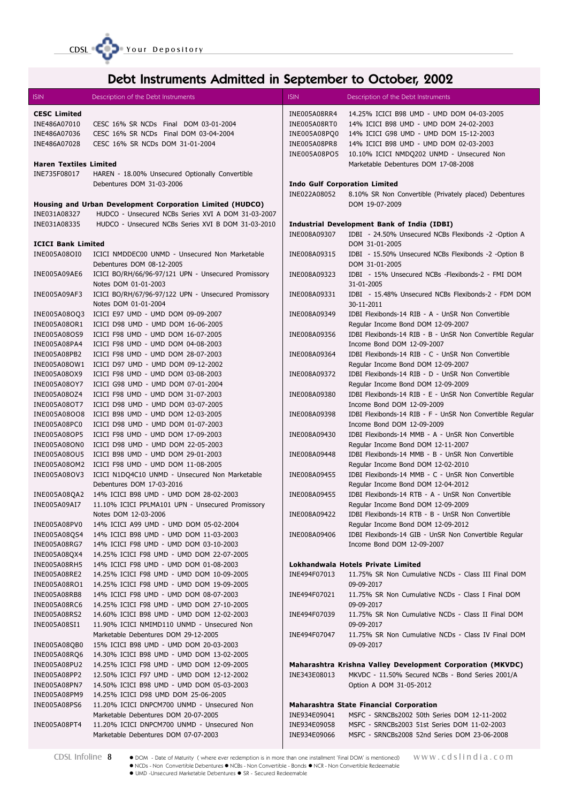

# Debt Instruments Admitted in September to October, 2002

| <b>ISIN</b>                   | Description of the Debt Instruments                                              | <b>ISIN</b>  | Description of the Debt Instruments                                                 |
|-------------------------------|----------------------------------------------------------------------------------|--------------|-------------------------------------------------------------------------------------|
| <b>CESC Limited</b>           |                                                                                  | INE005A08RR4 | 14.25% ICICI B98 UMD - UMD DOM 04-03-2005                                           |
| INE486A07010                  | CESC 16% SR NCDs Final DOM 03-01-2004                                            | INE005A08RT0 | 14% ICICI B98 UMD - UMD DOM 24-02-2003                                              |
| INE486A07036                  | CESC 16% SR NCDs Final DOM 03-04-2004                                            | INE005A08PQ0 | 14% ICICI G98 UMD - UMD DOM 15-12-2003                                              |
| INE486A07028                  | CESC 16% SR NCDs DOM 31-01-2004                                                  | INE005A08PR8 | 14% ICICI B98 UMD - UMD DOM 02-03-2003                                              |
|                               |                                                                                  | INE005A08PO5 | 10.10% ICICI NMDQ202 UNMD - Unsecured Non                                           |
| <b>Haren Textiles Limited</b> |                                                                                  |              | Marketable Debentures DOM 17-08-2008                                                |
| INE735F08017                  | HAREN - 18.00% Unsecured Optionally Convertible                                  |              |                                                                                     |
|                               | Debentures DOM 31-03-2006                                                        |              | <b>Indo Gulf Corporation Limited</b>                                                |
|                               |                                                                                  | INE022A08052 | 8.10% SR Non Convertible (Privately placed) Debentures                              |
|                               | Housing and Urban Development Corporation Limited (HUDCO)                        |              | DOM 19-07-2009                                                                      |
| INE031A08327                  | HUDCO - Unsecured NCBs Series XVI A DOM 31-03-2007                               |              |                                                                                     |
| INE031A08335                  | HUDCO - Unsecured NCBs Series XVI B DOM 31-03-2010                               |              | Industrial Development Bank of India (IDBI)                                         |
|                               |                                                                                  | INE008A09307 | IDBI - 24.50% Unsecured NCBs Flexibonds -2 -Option A                                |
| <b>ICICI Bank Limited</b>     |                                                                                  |              | DOM 31-01-2005                                                                      |
| INE005A08OI0                  | ICICI NMDDEC00 UNMD - Unsecured Non Marketable                                   | INE008A09315 | IDBI - 15.50% Unsecured NCBs Flexibonds -2 -Option B                                |
|                               | Debentures DOM 08-12-2005                                                        |              | DOM 31-01-2005                                                                      |
| INE005A09AE6                  | ICICI BO/RH/66/96-97/121 UPN - Unsecured Promissory<br>Notes DOM 01-01-2003      | INE008A09323 | IDBI - 15% Unsecured NCBs -Flexibonds-2 - FMI DOM<br>31-01-2005                     |
| INE005A09AF3                  | ICICI BO/RH/67/96-97/122 UPN - Unsecured Promissory                              | INE008A09331 | IDBI - 15.48% Unsecured NCBs Flexibonds-2 - FDM DOM                                 |
|                               | Notes DOM 01-01-2004                                                             |              | 30-11-2011                                                                          |
| INE005A08OQ3                  | ICICI E97 UMD - UMD DOM 09-09-2007                                               | INE008A09349 | IDBI Flexibonds-14 RIB - A - UnSR Non Convertible                                   |
| INE005A08OR1                  | ICICI D98 UMD - UMD DOM 16-06-2005                                               |              | Regular Income Bond DOM 12-09-2007                                                  |
| INE005A08OS9                  | ICICI F98 UMD - UMD DOM 16-07-2005                                               | INE008A09356 | IDBI Flexibonds-14 RIB - B - UnSR Non Convertible Regular                           |
| INE005A08PA4                  | ICICI F98 UMD - UMD DOM 04-08-2003                                               |              | Income Bond DOM 12-09-2007                                                          |
| INE005A08PB2                  | ICICI F98 UMD - UMD DOM 28-07-2003                                               | INE008A09364 | IDBI Flexibonds-14 RIB - C - UnSR Non Convertible                                   |
| INE005A08OW1                  | ICICI D97 UMD - UMD DOM 09-12-2002                                               |              | Regular Income Bond DOM 12-09-2007                                                  |
| INE005A08OX9                  | ICICI F98 UMD - UMD DOM 03-08-2003                                               | INE008A09372 | IDBI Flexibonds-14 RIB - D - UnSR Non Convertible                                   |
| INE005A08OY7                  | ICICI G98 UMD - UMD DOM 07-01-2004                                               |              | Regular Income Bond DOM 12-09-2009                                                  |
| INE005A08OZ4                  | ICICI F98 UMD - UMD DOM 31-07-2003                                               | INE008A09380 | IDBI Flexibonds-14 RIB - E - UnSR Non Convertible Regular                           |
| INE005A08OT7                  | ICICI D98 UMD - UMD DOM 03-07-2005                                               |              | Income Bond DOM 12-09-2009                                                          |
|                               | INE005A08OO8 ICICI B98 UMD - UMD DOM 12-03-2005                                  | INE008A09398 | IDBI Flexibonds-14 RIB - F - UnSR Non Convertible Regular                           |
| INE005A08PC0                  | ICICI D98 UMD - UMD DOM 01-07-2003                                               |              | Income Bond DOM 12-09-2009                                                          |
| INE005A08OP5                  | ICICI F98 UMD - UMD DOM 17-09-2003                                               | INE008A09430 | IDBI Flexibonds-14 MMB - A - UnSR Non Convertible                                   |
| INE005A08ON0                  | ICICI D98 UMD - UMD DOM 22-05-2003                                               |              | Regular Income Bond DOM 12-11-2007                                                  |
| INE005A08OU5                  | ICICI B98 UMD - UMD DOM 29-01-2003                                               | INE008A09448 | IDBI Flexibonds-14 MMB - B - UnSR Non Convertible                                   |
|                               | INE005A08OM2 ICICI F98 UMD - UMD DOM 11-08-2005                                  |              | Regular Income Bond DOM 12-02-2010                                                  |
| INE005A08OV3                  | ICICI N1DQ4C10 UNMD - Unsecured Non Marketable                                   | INE008A09455 | IDBI Flexibonds-14 MMB - C - UnSR Non Convertible                                   |
|                               | Debentures DOM 17-03-2016                                                        |              | Regular Income Bond DOM 12-04-2012                                                  |
|                               | INE005A08QA2 14% ICICI B98 UMD - UMD DOM 28-02-2003                              | INE008A09455 | IDBI Flexibonds-14 RTB - A - UnSR Non Convertible                                   |
| INE005A09AI7                  | 11.10% ICICI PPLMA101 UPN - Unsecured Promissory                                 |              | Regular Income Bond DOM 12-09-2009                                                  |
|                               | Notes DOM 12-03-2006                                                             | INE008A09422 | IDBI Flexibonds-14 RTB - B - UnSR Non Convertible                                   |
| INE005A08PV0                  | 14% ICICI A99 UMD - UMD DOM 05-02-2004                                           |              | Regular Income Bond DOM 12-09-2012                                                  |
| INE005A08QS4<br>INE005A08RG7  | 14% ICICI B98 UMD - UMD DOM 11-03-2003<br>14% ICICI F98 UMD - UMD DOM 03-10-2003 | INE008A09406 | IDBI Flexibonds-14 GIB - UnSR Non Convertible Regular<br>Income Bond DOM 12-09-2007 |
| INE005A08QX4                  | 14.25% ICICI F98 UMD - UMD DOM 22-07-2005                                        |              |                                                                                     |
| <b>INE005A08RH5</b>           | 14% ICICI F98 UMD - UMD DOM 01-08-2003                                           |              | Lokhandwala Hotels Private Limited                                                  |
| INE005A08RE2                  | 14.25% ICICI F98 UMD - UMD DOM 10-09-2005                                        | INE494F07013 | 11.75% SR Non Cumulative NCDs - Class III Final DOM                                 |
| INE005A08RO1                  | 14.25% ICICI F98 UMD - UMD DOM 19-09-2005                                        |              | 09-09-2017                                                                          |
| INE005A08RB8                  | 14% ICICI F98 UMD - UMD DOM 08-07-2003                                           | INE494F07021 | 11.75% SR Non Cumulative NCDs - Class I Final DOM                                   |
| INE005A08RC6                  | 14.25% ICICI F98 UMD - UMD DOM 27-10-2005                                        |              | 09-09-2017                                                                          |
| INE005A08RS2                  | 14.60% ICICI B98 UMD - UMD DOM 12-02-2003                                        | INE494F07039 | 11.75% SR Non Cumulative NCDs - Class II Final DOM                                  |
| INE005A08SI1                  | 11.90% ICICI NMIMD110 UNMD - Unsecured Non                                       |              | 09-09-2017                                                                          |
|                               | Marketable Debentures DOM 29-12-2005                                             | INE494F07047 | 11.75% SR Non Cumulative NCDs - Class IV Final DOM                                  |
| INE005A08QB0                  | 15% ICICI B98 UMD - UMD DOM 20-03-2003                                           |              | 09-09-2017                                                                          |
| INE005A08RQ6                  | 14.30% ICICI B98 UMD - UMD DOM 13-02-2005                                        |              |                                                                                     |
| INE005A08PU2                  | 14.25% ICICI F98 UMD - UMD DOM 12-09-2005                                        |              | <b>Maharashtra Krishna Valley Development Corporation (MKVDC)</b>                   |
| INE005A08PP2                  | 12.50% ICICI F97 UMD - UMD DOM 12-12-2002                                        | INE343E08013 | MKVDC - 11.50% Secured NCBs - Bond Series 2001/A                                    |
| <b>INE005A08PN7</b>           | 14.50% ICICI B98 UMD - UMD DOM 05-03-2003                                        |              | Option A DOM 31-05-2012                                                             |
| INE005A08PM9                  | 14.25% ICICI D98 UMD DOM 25-06-2005                                              |              |                                                                                     |
| INE005A08PS6                  | 11.20% ICICI DNPCM700 UNMD - Unsecured Non                                       |              | <b>Maharashtra State Financial Corporation</b>                                      |
|                               | Marketable Debentures DOM 20-07-2005                                             | INE934E09041 | MSFC - SRNCBs2002 50th Series DOM 12-11-2002                                        |
| INE005A08PT4                  | 11.20% ICICI DNPCM700 UNMD - Unsecured Non                                       | INE934E09058 | MSFC - SRNCBs2003 51st Series DOM 11-02-2003                                        |
|                               | Marketable Debentures DOM 07-07-2003                                             | INE934E09066 | MSFC - SRNCBs2008 52nd Series DOM 23-06-2008                                        |

 $\blacksquare$ 

CDSL Infoline 8 • DOM - Date of Maturity (where ever redemption is in more than one installment 'Final DOM' is mentioned) WWW.Cdslindia.com NCDs - Non Convertible Debentures NCBs - Non Convertible - Bonds NCR - Non Convertible Redeemable UMD -Unsecured Marketable Debentures SR - Secured Redeemable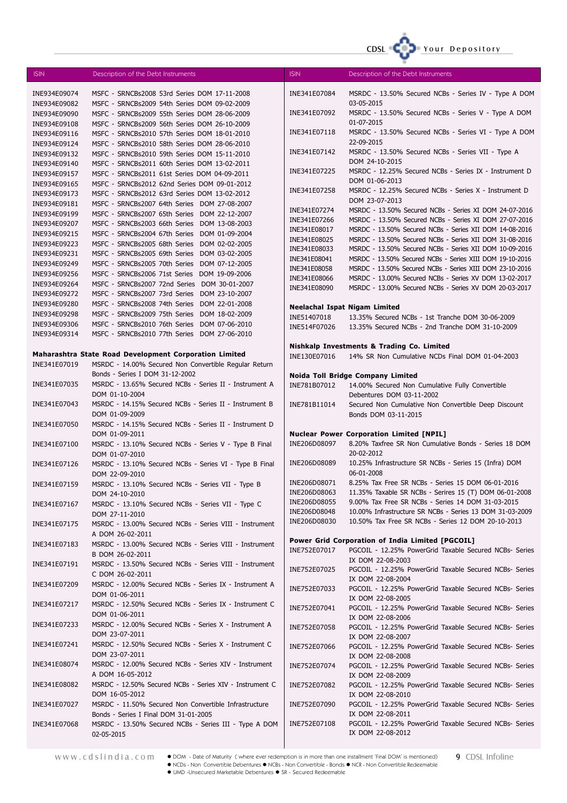

| <b>ISIN</b>                  | Description of the Debt Instruments                                                          | <b>ISIN</b>                          | Description of the Debt Instruments                                                                                  |
|------------------------------|----------------------------------------------------------------------------------------------|--------------------------------------|----------------------------------------------------------------------------------------------------------------------|
| INE934E09074                 | MSFC - SRNCBs2008 53rd Series DOM 17-11-2008                                                 | INE341E07084                         | MSRDC - 13.50% Secured NCBs - Series IV - Type A DOM                                                                 |
| INE934E09082                 | MSFC - SRNCBs2009 54th Series DOM 09-02-2009                                                 |                                      | 03-05-2015                                                                                                           |
| INE934E09090                 | MSFC - SRNCBs2009 55th Series DOM 28-06-2009                                                 | INE341E07092                         | MSRDC - 13.50% Secured NCBs - Series V - Type A DOM                                                                  |
| INE934E09108                 | MSFC - SRNCBs2009 56th Series DOM 26-10-2009                                                 |                                      | 01-07-2015                                                                                                           |
| INE934E09116                 | MSFC - SRNCBs2010 57th Series DOM 18-01-2010                                                 | INE341E07118                         | MSRDC - 13.50% Secured NCBs - Series VI - Type A DOM                                                                 |
| INE934E09124                 | MSFC - SRNCBs2010 58th Series DOM 28-06-2010                                                 |                                      | 22-09-2015                                                                                                           |
| INE934E09132                 | MSFC - SRNCBs2010 59th Series DOM 15-11-2010                                                 | INE341E07142                         | MSRDC - 13.50% Secured NCBs - Series VII - Type A                                                                    |
| INE934E09140                 | MSFC - SRNCBs2011 60th Series DOM 13-02-2011                                                 |                                      | DOM 24-10-2015                                                                                                       |
| INE934E09157                 | MSFC - SRNCBs2011 61st Series DOM 04-09-2011                                                 | INE341E07225                         | MSRDC - 12.25% Secured NCBs - Series IX - Instrument D<br>DOM 01-06-2013                                             |
| INE934E09165                 | MSFC - SRNCBs2012 62nd Series DOM 09-01-2012                                                 | INE341E07258                         | MSRDC - 12.25% Secured NCBs - Series X - Instrument D                                                                |
| INE934E09173                 | MSFC - SRNCBs2012 63rd Series DOM 13-02-2012                                                 |                                      | DOM 23-07-2013                                                                                                       |
| INE934E09181<br>INE934E09199 | MSFC - SRNCBs2007 64th Series DOM 27-08-2007<br>MSFC - SRNCBs2007 65th Series DOM 22-12-2007 | INE341E07274                         | MSRDC - 13.50% Secured NCBs - Series XI DOM 24-07-2016                                                               |
| INE934E09207                 | MSFC - SRNCBs2003 66th Series DOM 13-08-2003                                                 | INE341E07266                         | MSRDC - 13.50% Secured NCBs - Series XI DOM 27-07-2016                                                               |
| INE934E09215                 | MSFC - SRNCBs2004 67th Series DOM 01-09-2004                                                 | INE341E08017                         | MSRDC - 13.50% Secured NCBs - Series XII DOM 14-08-2016                                                              |
| INE934E09223                 | MSFC - SRNCBs2005 68th Series DOM 02-02-2005                                                 | INE341E08025                         | MSRDC - 13.50% Secured NCBs - Series XII DOM 31-08-2016                                                              |
| INE934E09231                 | MSFC - SRNCBs2005 69th Series DOM 03-02-2005                                                 | INE341E08033                         | MSRDC - 13.50% Secured NCBs - Series XII DOM 10-09-2016                                                              |
| INE934E09249                 | MSFC - SRNCBs2005 70th Series DOM 07-12-2005                                                 | INE341E08041<br>INE341E08058         | MSRDC - 13.50% Secured NCBs - Series XIII DOM 19-10-2016<br>MSRDC - 13.50% Secured NCBs - Series XIII DOM 23-10-2016 |
| INE934E09256                 | MSFC - SRNCBs2006 71st Series DOM 19-09-2006                                                 | INE341E08066                         | MSRDC - 13.00% Secured NCBs - Series XV DOM 13-02-2017                                                               |
| INE934E09264                 | MSFC - SRNCBs2007 72nd Series DOM 30-01-2007                                                 | INE341E08090                         | MSRDC - 13.00% Secured NCBs - Series XV DOM 20-03-2017                                                               |
| INE934E09272                 | MSFC - SRNCBs2007 73rd Series DOM 23-10-2007                                                 |                                      |                                                                                                                      |
| INE934E09280                 | MSFC - SRNCBs2008 74th Series DOM 22-01-2008                                                 | <b>Neelachal Ispat Nigam Limited</b> |                                                                                                                      |
| INE934E09298                 | MSFC - SRNCBs2009 75th Series DOM 18-02-2009                                                 | INE51407018                          | 13.35% Secured NCBs - 1st Tranche DOM 30-06-2009                                                                     |
| INE934E09306                 | MSFC - SRNCBs2010 76th Series DOM 07-06-2010<br>MSFC - SRNCBs2010 77th Series DOM 27-06-2010 | INE514F07026                         | 13.35% Secured NCBs - 2nd Tranche DOM 31-10-2009                                                                     |
| INE934E09314                 |                                                                                              |                                      |                                                                                                                      |
|                              | Maharashtra State Road Development Corporation Limited                                       | INE130E07016                         | Nishkalp Investments & Trading Co. Limited<br>14% SR Non Cumulative NCDs Final DOM 01-04-2003                        |
| INE341E07019                 | MSRDC - 14.00% Secured Non Convertible Regular Return                                        |                                      |                                                                                                                      |
|                              | Bonds - Series I DOM 31-12-2002                                                              |                                      | Noida Toll Bridge Company Limited                                                                                    |
| INE341E07035                 | MSRDC - 13.65% Secured NCBs - Series II - Instrument A                                       | INE781B07012                         | 14.00% Secured Non Cumulative Fully Convertible                                                                      |
|                              | DOM 01-10-2004                                                                               |                                      | Debentures DOM 03-11-2002                                                                                            |
| INE341E07043                 | MSRDC - 14.15% Secured NCBs - Series II - Instrument B                                       | INE781B11014                         | Secured Non Cumulative Non Convertible Deep Discount                                                                 |
|                              | DOM 01-09-2009                                                                               |                                      | Bonds DOM 03-11-2015                                                                                                 |
| INE341E07050                 | MSRDC - 14.15% Secured NCBs - Series II - Instrument D                                       |                                      |                                                                                                                      |
| INE341E07100                 | DOM 01-09-2011<br>MSRDC - 13.10% Secured NCBs - Series V - Type B Final                      | INE206D08097                         | <b>Nuclear Power Corporation Limited [NPIL]</b><br>8.20% Taxfree SR Non Cumulative Bonds - Series 18 DOM             |
|                              | DOM 01-07-2010                                                                               |                                      | 20-02-2012                                                                                                           |
| INE341E07126                 | MSRDC - 13.10% Secured NCBs - Series VI - Type B Final                                       | INE206D08089                         | 10.25% Infrastructure SR NCBs - Series 15 (Infra) DOM                                                                |
|                              | DOM 22-09-2010                                                                               |                                      | 06-01-2008                                                                                                           |
| INE341E07159                 | MSRDC - 13.10% Secured NCBs - Series VII - Type B                                            | INE206D08071                         | 8.25% Tax Free SR NCBs - Series 15 DOM 06-01-2016                                                                    |
|                              | DOM 24-10-2010                                                                               | INE206D08063                         | 11.35% Taxable SR NCBs - Serires 15 (T) DOM 06-01-2008                                                               |
| INE341E07167                 | MSRDC - 13.10% Secured NCBs - Series VII - Type C                                            | INE206D08055                         | 9.00% Tax Free SR NCBs - Series 14 DOM 31-03-2015                                                                    |
|                              | DOM 27-11-2010                                                                               | INE206D08048<br>INE206D08030         | 10.00% Infrastructure SR NCBs - Series 13 DOM 31-03-2009<br>10.50% Tax Free SR NCBs - Series 12 DOM 20-10-2013       |
| INE341E07175                 | MSRDC - 13.00% Secured NCBs - Series VIII - Instrument                                       |                                      |                                                                                                                      |
|                              | A DOM 26-02-2011<br>MSRDC - 13.00% Secured NCBs - Series VIII - Instrument                   |                                      | Power Grid Corporation of India Limited [PGCOIL]                                                                     |
| INE341E07183                 | B DOM 26-02-2011                                                                             | INE752E07017                         | PGCOIL - 12.25% PowerGrid Taxable Secured NCBs- Series                                                               |
| INE341E07191                 | MSRDC - 13.50% Secured NCBs - Series VIII - Instrument                                       |                                      | IX DOM 22-08-2003                                                                                                    |
|                              | C DOM 26-02-2011                                                                             | INE752E07025                         | PGCOIL - 12.25% PowerGrid Taxable Secured NCBs- Series                                                               |
| INE341E07209                 | MSRDC - 12.00% Secured NCBs - Series IX - Instrument A                                       |                                      | IX DOM 22-08-2004                                                                                                    |
|                              | DOM 01-06-2011                                                                               | INE752E07033                         | PGCOIL - 12.25% PowerGrid Taxable Secured NCBs- Series<br>IX DOM 22-08-2005                                          |
| INE341E07217                 | MSRDC - 12.50% Secured NCBs - Series IX - Instrument C                                       | INE752E07041                         | PGCOIL - 12.25% PowerGrid Taxable Secured NCBs- Series                                                               |
|                              | DOM 01-06-2011                                                                               |                                      | IX DOM 22-08-2006                                                                                                    |
| INE341E07233                 | MSRDC - 12.00% Secured NCBs - Series X - Instrument A                                        | INE752E07058                         | PGCOIL - 12.25% PowerGrid Taxable Secured NCBs- Series                                                               |
|                              | DOM 23-07-2011                                                                               |                                      | IX DOM 22-08-2007                                                                                                    |
| INE341E07241                 | MSRDC - 12.50% Secured NCBs - Series X - Instrument C                                        | INE752E07066                         | PGCOIL - 12.25% PowerGrid Taxable Secured NCBs- Series                                                               |
|                              | DOM 23-07-2011                                                                               |                                      | IX DOM 22-08-2008                                                                                                    |
| INE341E08074                 | MSRDC - 12.00% Secured NCBs - Series XIV - Instrument<br>A DOM 16-05-2012                    | INE752E07074                         | PGCOIL - 12.25% PowerGrid Taxable Secured NCBs- Series                                                               |
| INE341E08082                 | MSRDC - 12.50% Secured NCBs - Series XIV - Instrument C                                      | INE752E07082                         | IX DOM 22-08-2009<br>PGCOIL - 12.25% PowerGrid Taxable Secured NCBs- Series                                          |
|                              | DOM 16-05-2012                                                                               |                                      | IX DOM 22-08-2010                                                                                                    |
| INE341E07027                 | MSRDC - 11.50% Secured Non Convertible Infrastructure                                        | INE752E07090                         | PGCOIL - 12.25% PowerGrid Taxable Secured NCBs- Series                                                               |
|                              | Bonds - Series I Final DOM 31-01-2005                                                        |                                      | IX DOM 22-08-2011                                                                                                    |
| INE341E07068                 | MSRDC - 13.50% Secured NCBs - Series III - Type A DOM                                        | INE752E07108                         | PGCOIL - 12.25% PowerGrid Taxable Secured NCBs- Series                                                               |
|                              | 02-05-2015                                                                                   |                                      | IX DOM 22-08-2012                                                                                                    |
|                              |                                                                                              |                                      |                                                                                                                      |

www.cdslindia.com DOM - Date of Maturity ( where ever redemption is in more than one installment 'Final DOM' is mentioned) 9 CDSL Infoline NCDs - Non Convertible Debentures NCBs - Non Convertible - Bonds NCR - Non Convertible Redeemable UMD -Unsecured Marketable Debentures SR - Secured Redeemable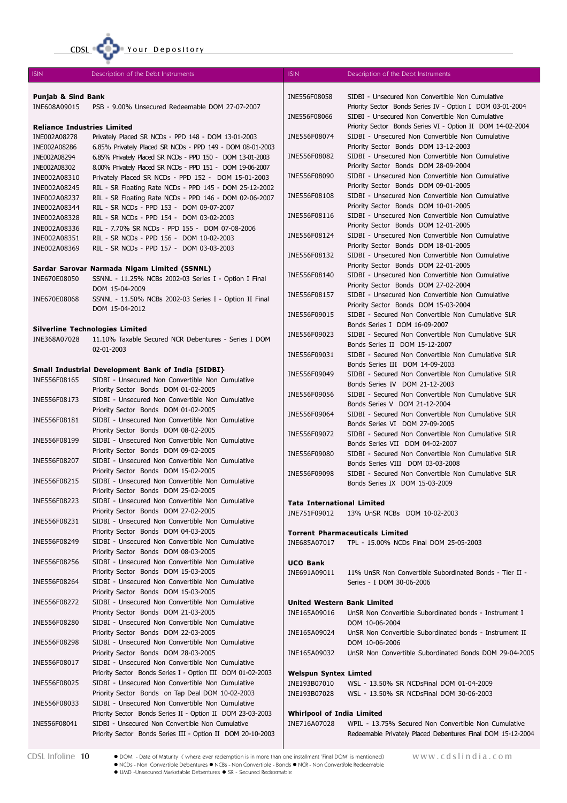|                                               | CDSL COD Your Depository                                                                                         |                                                   |                                                                                                               |
|-----------------------------------------------|------------------------------------------------------------------------------------------------------------------|---------------------------------------------------|---------------------------------------------------------------------------------------------------------------|
| <b>ISIN</b>                                   | Description of the Debt Instruments                                                                              | <b>ISIN</b>                                       | Description of the Debt Instruments                                                                           |
| <b>Punjab &amp; Sind Bank</b><br>INE608A09015 | PSB - 9.00% Unsecured Redeemable DOM 27-07-2007                                                                  | INE556F08058                                      | SIDBI - Unsecured Non Convertible Non Cumulative<br>Priority Sector Bonds Series IV - Option I DOM 03-01-2004 |
|                                               |                                                                                                                  | INE556F08066                                      | SIDBI - Unsecured Non Convertible Non Cumulative                                                              |
| <b>Reliance Industries Limited</b>            |                                                                                                                  |                                                   | Priority Sector Bonds Series VI - Option II DOM 14-02-2004                                                    |
| INE002A08278<br>INE002A08286                  | Privately Placed SR NCDs - PPD 148 - DOM 13-01-2003<br>6.85% Privately Placed SR NCDs - PPD 149 - DOM 08-01-2003 | INE556F08074                                      | SIDBI - Unsecured Non Convertible Non Cumulative<br>Priority Sector Bonds DOM 13-12-2003                      |
| INE002A08294                                  | 6.85% Privately Placed SR NCDs - PPD 150 - DOM 13-01-2003                                                        | INE556F08082                                      | SIDBI - Unsecured Non Convertible Non Cumulative                                                              |
| INE002A08302                                  | 8.00% Privately Placed SR NCDs - PPD 151 - DOM 19-06-2007                                                        |                                                   | Priority Sector Bonds DOM 28-09-2004                                                                          |
| INE002A08310                                  | Privately Placed SR NCDs - PPD 152 - DOM 15-01-2003                                                              | INE556F08090                                      | SIDBI - Unsecured Non Convertible Non Cumulative                                                              |
| INE002A08245                                  | RIL - SR Floating Rate NCDs - PPD 145 - DOM 25-12-2002                                                           |                                                   | Priority Sector Bonds DOM 09-01-2005                                                                          |
| INE002A08237                                  | RIL - SR Floating Rate NCDs - PPD 146 - DOM 02-06-2007                                                           | INE556F08108                                      | SIDBI - Unsecured Non Convertible Non Cumulative<br>Priority Sector Bonds DOM 10-01-2005                      |
| INE002A08344                                  | RIL - SR NCDs - PPD 153 - DOM 09-07-2007                                                                         | INE556F08116                                      | SIDBI - Unsecured Non Convertible Non Cumulative                                                              |
| INE002A08328<br>INE002A08336                  | RIL - SR NCDs - PPD 154 - DOM 03-02-2003<br>RIL - 7.70% SR NCDs - PPD 155 - DOM 07-08-2006                       |                                                   | Priority Sector Bonds DOM 12-01-2005                                                                          |
| INE002A08351                                  | RIL - SR NCDs - PPD 156 - DOM 10-02-2003                                                                         | INE556F08124                                      | SIDBI - Unsecured Non Convertible Non Cumulative                                                              |
| INE002A08369                                  | RIL - SR NCDs - PPD 157 - DOM 03-03-2003                                                                         |                                                   | Priority Sector Bonds DOM 18-01-2005                                                                          |
|                                               |                                                                                                                  | INE556F08132                                      | SIDBI - Unsecured Non Convertible Non Cumulative<br>Priority Sector Bonds DOM 22-01-2005                      |
|                                               | Sardar Sarovar Narmada Nigam Limited (SSNNL)                                                                     | INE556F08140                                      | SIDBI - Unsecured Non Convertible Non Cumulative                                                              |
| INE670E08050                                  | SSNNL - 11.25% NCBs 2002-03 Series I - Option I Final<br>DOM 15-04-2009                                          |                                                   | Priority Sector Bonds DOM 27-02-2004                                                                          |
| INE670E08068                                  | SSNNL - 11.50% NCBs 2002-03 Series I - Option II Final                                                           | INE556F08157                                      | SIDBI - Unsecured Non Convertible Non Cumulative                                                              |
|                                               | DOM 15-04-2012                                                                                                   | INE556F09015                                      | Priority Sector Bonds DOM 15-03-2004<br>SIDBI - Secured Non Convertible Non Cumulative SLR                    |
|                                               |                                                                                                                  |                                                   | Bonds Series I DOM 16-09-2007                                                                                 |
| INE368A07028                                  | <b>Silverline Technologies Limited</b><br>11.10% Taxable Secured NCR Debentures - Series I DOM                   | INE556F09023                                      | SIDBI - Secured Non Convertible Non Cumulative SLR                                                            |
|                                               | 02-01-2003                                                                                                       |                                                   | Bonds Series II DOM 15-12-2007                                                                                |
|                                               |                                                                                                                  | INE556F09031                                      | SIDBI - Secured Non Convertible Non Cumulative SLR                                                            |
|                                               | Small Industrial Development Bank of India [SIDBI}                                                               | INE556F09049                                      | Bonds Series III DOM 14-09-2003<br>SIDBI - Secured Non Convertible Non Cumulative SLR                         |
| INE556F08165                                  | SIDBI - Unsecured Non Convertible Non Cumulative                                                                 |                                                   | Bonds Series IV DOM 21-12-2003                                                                                |
|                                               | Priority Sector Bonds DOM 01-02-2005                                                                             | INE556F09056                                      | SIDBI - Secured Non Convertible Non Cumulative SLR                                                            |
| INE556F08173                                  | SIDBI - Unsecured Non Convertible Non Cumulative<br>Priority Sector Bonds DOM 01-02-2005                         |                                                   | Bonds Series V DOM 21-12-2004                                                                                 |
| INE556F08181                                  | SIDBI - Unsecured Non Convertible Non Cumulative                                                                 | INE556F09064                                      | SIDBI - Secured Non Convertible Non Cumulative SLR                                                            |
|                                               | Priority Sector Bonds DOM 08-02-2005                                                                             | INE556F09072                                      | Bonds Series VI DOM 27-09-2005<br>SIDBI - Secured Non Convertible Non Cumulative SLR                          |
| INE556F08199                                  | SIDBI - Unsecured Non Convertible Non Cumulative                                                                 |                                                   | Bonds Series VII DOM 04-02-2007                                                                               |
|                                               | Priority Sector Bonds DOM 09-02-2005                                                                             | INE556F09080                                      | SIDBI - Secured Non Convertible Non Cumulative SLR                                                            |
| INE556F08207                                  | SIDBI - Unsecured Non Convertible Non Cumulative<br>Priority Sector Bonds DOM 15-02-2005                         |                                                   | Bonds Series VIII DOM 03-03-2008                                                                              |
| INE556F08215                                  | SIDBI - Unsecured Non Convertible Non Cumulative                                                                 | INE556F09098                                      | SIDBI - Secured Non Convertible Non Cumulative SLR<br>Bonds Series IX DOM 15-03-2009                          |
|                                               | Priority Sector Bonds DOM 25-02-2005                                                                             |                                                   |                                                                                                               |
| INE556F08223                                  | SIDBI - Unsecured Non Convertible Non Cumulative                                                                 | <b>Tata International Limited</b>                 |                                                                                                               |
|                                               | Priority Sector Bonds DOM 27-02-2005                                                                             | INE751F09012                                      | 13% UnSR NCBs DOM 10-02-2003                                                                                  |
| INE556F08231                                  | SIDBI - Unsecured Non Convertible Non Cumulative<br>Priority Sector Bonds DOM 04-03-2005                         |                                                   |                                                                                                               |
| INE556F08249                                  | SIDBI - Unsecured Non Convertible Non Cumulative                                                                 | INE685A07017                                      | <b>Torrent Pharmaceuticals Limited</b><br>TPL - 15.00% NCDs Final DOM 25-05-2003                              |
|                                               | Priority Sector Bonds DOM 08-03-2005                                                                             |                                                   |                                                                                                               |
| INE556F08256                                  | SIDBI - Unsecured Non Convertible Non Cumulative                                                                 | <b>UCO Bank</b>                                   |                                                                                                               |
|                                               | Priority Sector Bonds DOM 15-03-2005                                                                             | INE691A09011                                      | 11% UnSR Non Convertible Subordinated Bonds - Tier II -                                                       |
| INE556F08264                                  | SIDBI - Unsecured Non Convertible Non Cumulative<br>Priority Sector Bonds DOM 15-03-2005                         |                                                   | Series - I DOM 30-06-2006                                                                                     |
| INE556F08272                                  | SIDBI - Unsecured Non Convertible Non Cumulative                                                                 | United Western Bank Limited                       |                                                                                                               |
|                                               | Priority Sector Bonds DOM 21-03-2005                                                                             | INE165A09016                                      | UnSR Non Convertible Subordinated bonds - Instrument I                                                        |
| INE556F08280                                  | SIDBI - Unsecured Non Convertible Non Cumulative                                                                 |                                                   | DOM 10-06-2004                                                                                                |
|                                               | Priority Sector Bonds DOM 22-03-2005                                                                             | INE165A09024                                      | UnSR Non Convertible Subordinated bonds - Instrument II                                                       |
| INE556F08298                                  | SIDBI - Unsecured Non Convertible Non Cumulative                                                                 |                                                   | DOM 10-06-2006                                                                                                |
| INE556F08017                                  | Priority Sector Bonds DOM 28-03-2005<br>SIDBI - Unsecured Non Convertible Non Cumulative                         | INE165A09032                                      | UnSR Non Convertible Subordinated Bonds DOM 29-04-2005                                                        |
|                                               | Priority Sector Bonds Series I - Option III DOM 01-02-2003                                                       | <b>Welspun Syntex Limted</b>                      |                                                                                                               |
| INE556F08025                                  | SIDBI - Unsecured Non Convertible Non Cumulative                                                                 | INE193B07010                                      | WSL - 13.50% SR NCDsFinal DOM 01-04-2009                                                                      |
|                                               | Priority Sector Bonds on Tap Deal DOM 10-02-2003                                                                 | INE193B07028                                      | WSL - 13.50% SR NCDsFinal DOM 30-06-2003                                                                      |
| INE556F08033                                  | SIDBI - Unsecured Non Convertible Non Cumulative                                                                 |                                                   |                                                                                                               |
| INE556F08041                                  | Priority Sector Bonds Series II - Option II DOM 23-03-2003<br>SIDBI - Unsecured Non Convertible Non Cumulative   | <b>Whirlpool of India Limited</b><br>INE716A07028 | WPIL - 13.75% Secured Non Convertible Non Cumulative                                                          |
|                                               | Priority Sector Bonds Series III - Option II DOM 20-10-2003                                                      |                                                   | Redeemable Privately Placed Debentures Final DOM 15-12-2004                                                   |

CDSL Infoline  $10 \longrightarrow$  DOM - Date of Maturity (where ever redemption is in more than one installment 'Final DOM' is mentioned) WWW.Cd Slindia.COM NCDs - Non Convertible Debentures NCBs - Non Convertible - Bonds NCR - Non Convertible Redeemable UMD -Unsecured Marketable Debentures SR - Secured Redeemable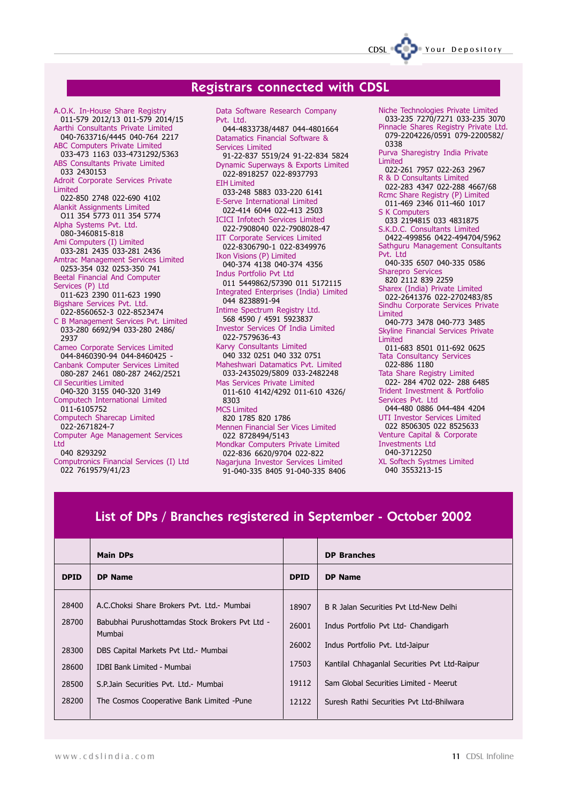### Registrars connected with CDSL

A.O.K. In-House Share Registry 011-579 2012/13 011-579 2014/15 Aarthi Consultants Private Limited 040-7633716/4445 040-764 2217 ABC Computers Private Limited 033-473 1163 033-4731292/5363 ABS Consultants Private Limited 033 2430153 Adroit Corporate Services Private Limited 022-850 2748 022-690 4102 Alankit Assignments Limited O11 354 5773 011 354 5774 Alpha Systems Pvt. Ltd. 080-3460815-818 Ami Computers (I) Limited 033-281 2435 033-281 2436 Amtrac Management Services Limited 0253-354 032 0253-350 741 Beetal Financial And Computer Services (P) Ltd 011-623 2390 011-623 1990 Bigshare Services Pvt. Ltd. 022-8560652-3 022-8523474 C B Management Services Pvt. Limited 033-280 6692/94 033-280 2486/ 2937 Cameo Corporate Services Limited 044-8460390-94 044-8460425 - Canbank Computer Services Limited 080-287 2461 080-287 2462/2521 Cil Securities Limited 040-320 3155 040-320 3149 Computech International Limited 011-6105752 Computech Sharecap Limited 022-2671824-7 Computer Age Management Services Ltd 040 8293292

Computronics Financial Services (I) Ltd 022 7619579/41/23

Data Software Research Company Pvt. Ltd. 044-4833738/4487 044-4801664 Datamatics Financial Software & Services Limited 91-22-837 5519/24 91-22-834 5824 Dynamic Superways & Exports Limited 022-8918257 022-8937793 EIH Limited 033-248 5883 033-220 6141 E-Serve International Limited 022-414 6044 022-413 2503 ICICI Infotech Services Limited 022-7908040 022-7908028-47 IIT Corporate Services Limited 022-8306790-1 022-8349976 Ikon Visions (P) Limited 040-374 4138 040-374 4356 Indus Portfolio Pvt Ltd 011 5449862/57390 011 5172115 Integrated Enterprises (India) Limited 044 8238891-94 Intime Spectrum Registry Ltd. 568 4590 / 4591 5923837 Investor Services Of India Limited 022-7579636-43 Karvy Consultants Limited 040 332 0251 040 332 0751 Maheshwari Datamatics Pvt. Limited 033-2435029/5809 033-2482248 Mas Services Private Limited 011-610 4142/4292 011-610 4326/ 8303 MCS Limited 820 1785 820 1786 Mennen Financial Ser Vices Limited 022 8728494/5143 Mondkar Computers Private Limited 022-836 6620/9704 022-822 Nagarjuna Investor Services Limited 91-040-335 8405 91-040-335 8406

Niche Technologies Private Limited 033-235 7270/7271 033-235 3070 Pinnacle Shares Registry Private Ltd. 079-2204226/0591 079-2200582/ 0338 Purva Sharegistry India Private Limited 022-261 7957 022-263 2967 R & D Consultants Limited 022-283 4347 022-288 4667/68 Rcmc Share Registry (P) Limited 011-469 2346 011-460 1017 S K Computers 033 2194815 033 4831875 S.K.D.C. Consultants Limited 0422-499856 0422-494704/5962 Sathguru Management Consultants Pvt. Ltd 040-335 6507 040-335 0586 Sharepro Service 820 2112 839 2259 Sharex (India) Private Limited 022-2641376 022-2702483/85 Sindhu Corporate Services Private Limited 040-773 3478 040-773 3485 Skyline Financial Services Private Limited 011-683 8501 011-692 0625 Tata Consultancy Services 022-886 1180 Tata Share Registry Limited 022- 284 4702 022- 288 6485 Trident Investment & Portfolio Services Pvt. Ltd 044-480 0886 044-484 4204 UTI Investor Services Limited 022 8506305 022 8525633 Venture Capital & Corporate Investments Ltd 040-3712250 XL Softech Systmes Limited 040 3553213-15

CDSL Your Depository

### List of DPs / Branches registered in September - October 2002

|             | <b>Main DPs</b>                                           |             | <b>DP Branches</b>                            |
|-------------|-----------------------------------------------------------|-------------|-----------------------------------------------|
| <b>DPID</b> | <b>DP Name</b>                                            | <b>DPID</b> | <b>DP Name</b>                                |
| 28400       | A.C.Choksi Share Brokers Pvt. Ltd.- Mumbai                | 18907       | B R Jalan Securities Pvt Ltd-New Delhi        |
| 28700       | Babubhai Purushottamdas Stock Brokers Pvt Ltd -<br>Mumbai | 26001       | Indus Portfolio Pvt Ltd- Chandigarh           |
| 28300       | DBS Capital Markets Pvt Ltd.- Mumbai                      | 26002       | Indus Portfolio Pvt. Ltd-Jaipur               |
| 28600       | <b>IDBI Bank Limited - Mumbai</b>                         | 17503       | Kantilal Chhaganlal Securities Pvt Ltd-Raipur |
| 28500       | S.P. Jain Securities Pvt. Ltd. - Mumbai                   | 19112       | Sam Global Securities Limited - Meerut        |
| 28200       | The Cosmos Cooperative Bank Limited -Pune                 | 12122       | Suresh Rathi Securities Pvt Ltd-Bhilwara      |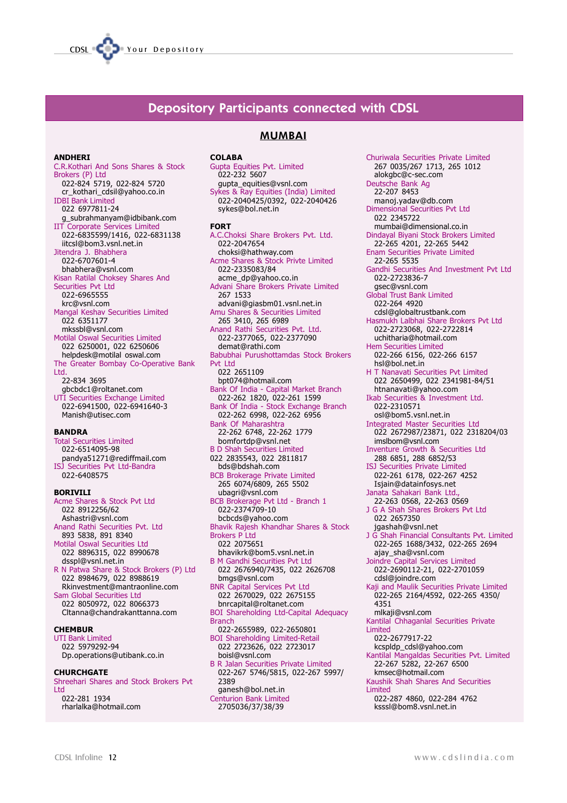

### Depository Participants connected with CDSL

#### ANDHERI

C.R.Kothari And Sons Shares & Stock Brokers (P) Itd 022-824 5719, 022-824 5720 cr\_kothari\_cdsil@yahoo.co.in IDBI Bank Limited 022 6977811-24 g\_subrahmanyam@idbibank.com IIT Corporate Services Limited 022-6835599/1416, 022-6831138 iitcsl@bom3.vsnl.net.in Jitendra J. Bhabhera 022-6707601-4 bhabhera@vsnl.com Kisan Ratilal Choksey Shares And Securities Pvt Ltd 022-6965555 krc@vsnl.com Mangal Keshav Securities Limited 022 6351177 mkssbl@vsnl.com Motilal Oswal Securities Limited 022 6250001, 022 6250606 helpdesk@motilal oswal.com The Greater Bombay Co-Operative Bank Ltd. 22-834 3695 gbcbdc1@roltanet.com UTI Securities Exchange Limited 022-6941500, 022-6941640-3 Manish@utisec.com

#### BANDRA

Total Securities Limited 022-6514095-98 pandya51271@rediffmail.com ISJ Securities Pvt Ltd-Bandra 022-6408575

#### BORIVILI

Acme Shares & Stock Pvt Ltd 022 8912256/62 Ashastri@vsnl.com Anand Rathi Securities Pvt. Ltd 893 5838, 891 8340 Motilal Oswal Securities Ltd 022 8896315, 022 8990678 dsspl@vsnl.net.in R N Patwa Share & Stock Brokers (P) Ltd 022 8984679, 022 8988619 Rkinvestment@mantraonline.com Sam Global Securities Ltd 022 8050972, 022 8066373 Cltanna@chandrakanttanna.com **CHEMBUR** UTI Bank Limited 022 5979292-94

Dp.operations@utibank.co.in

#### **CHURCHGATE**

Shreehari Shares and Stock Brokers Pvt Ltd 022-281 1934

rharlalka@hotmail.com

## MUMBAI

**COLABA** Gupta Equities Pvt. Limited 022-232 5607 gupta\_equities@vsnl.com Sykes & Ray Equities (India) Limited 022-2040425/0392, 022-2040426 sykes@bol.net.in FORT A.C.Choksi Share Brokers Pvt. Ltd. 022-2047654 choksi@hathway.com Acme Shares & Stock Privte Limited 022-2335083/84 acme\_dp@yahoo.co.in Advani Share Brokers Private Limited 267 1533 advani@giasbm01.vsnl.net.in Amu Shares & Securities Limited 265 3410, 265 6989 Anand Rathi Securities Pvt. Ltd. 022-2377065, 022-2377090 demat@rathi.com Babubhai Purushottamdas Stock Brokers Pvt Ltd 022 2651109 bpt074@hotmail.com Bank Of India - Capital Market Branch 022-262 1820, 022-261 1599 Bank Of India - Stock Exchange Branch 022-262 6998, 022-262 6956 Bank Of Maharashtra 22-262 6748, 22-262 1779 bomfortdp@vsnl.net B D Shah Securities Limited 022 2835543, 022 2811817 bds@bdshah.com BCB Brokerage Private Limited 265 6074/6809, 265 5502 ubagri@vsnl.com BCB Brokerage Pvt Ltd - Branch 1 022-2374709-10 bcbcds@yahoo.com Bhavik Rajesh Khandhar Shares & Stock Brokers P Ltd 022 2075651 bhavikrk@bom5.vsnl.net.in B M Gandhi Securities Pvt Ltd 022 2676940/7435, 022 2626708 bmgs@vsnl.com BNR Capital Services Pvt Ltd 022 2670029, 022 2675155 bnrcapital@roltanet.com BOI Shareholding Ltd-Capital Adequacy Branch

022-2655989, 022-2650801 BOI Shareholding Limited-Retail 022 2723626, 022 2723017 boisl@vsnl.com B R Jalan Securities Private Limited 022-267 5746/5815, 022-267 5997/ 2389

ganesh@bol.net.in Centurion Bank Limited 2705036/37/38/39

Churiwala Securities Private Limited 267 0035/267 1713, 265 1012 alokgbc@c-sec.com Deutsche Bank Ag 22-207 8453 manoj.yadav@db.com Dimensional Securities Pvt Ltd 022 2345722 mumbai@dimensional.co.in Dindayal Biyani Stock Brokers Limited 22-265 4201, 22-265 5442 Enam Securities Private Limited 22-265 5535 Gandhi Securities And Investment Pvt Ltd 022-2723836-7 gsec@vsnl.com Global Trust Bank Limited 022-264 4920 cdsl@globaltrustbank.com Hasmukh Lalbhai Share Brokers Pvt Ltd 022-2723068, 022-2722814 uchitharia@hotmail.com Hem Securities Limited 022-266 6156, 022-266 6157 hsl@bol.net.in H T Nanavati Securities Pvt Limited 022 2650499, 022 2341981-84/51 htnanavati@yahoo.com Ikab Securities & Investment Ltd. 022-2310571 osl@bom5.vsnl.net.in Integrated Master Securities Ltd 022 2672987/23871, 022 2318204/03 imslbom@vsnl.com Inventure Growth & Securities Ltd 288 6851, 288 6852/53 ISJ Securities Private Limited 022-261 6178, 022-267 4252 Isjain@datainfosys.net Janata Sahakari Bank Ltd., 22-263 0568, 22-263 0569 J G A Shah Shares Brokers Pvt Ltd 022 2657350 jgashah@vsnl.net J G Shah Financial Consultants Pvt. Limited 022-265 1688/3432, 022-265 2694 ajay\_sha@vsnl.com Joindre Capital Services Limited 022-2690112-21, 022-2701059 cdsl@joindre.com Kaji and Maulik Securities Private Limited 022-265 2164/4592, 022-265 4350/ 4351 mlkaji@vsnl.com Kantilal Chhaganlal Securities Private Limited 022-2677917-22 kcspldp\_cdsl@yahoo.com Kantilal Mangaldas Securities Pvt. Limited 22-267 5282, 22-267 6500 kmsec@hotmail.com Kaushik Shah Shares And Securities Limited 022-287 4860, 022-284 4762 ksssl@bom8.vsnl.net.in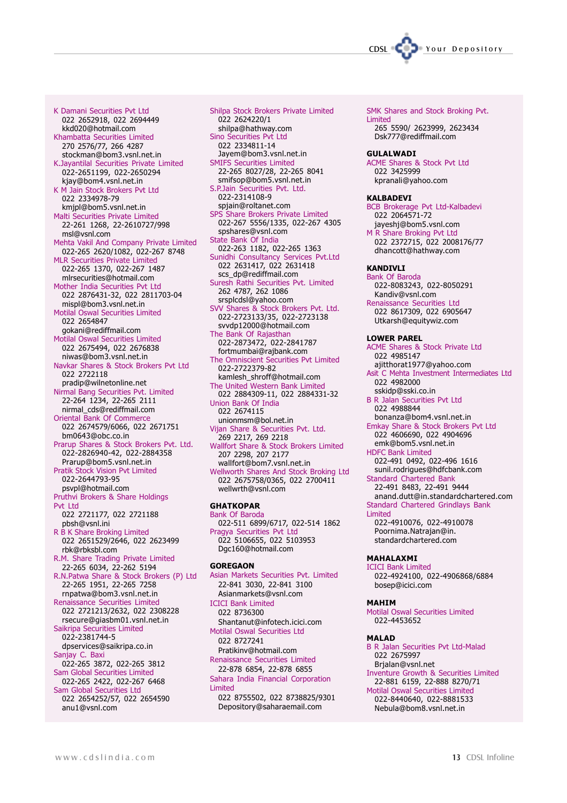

K Damani Securities Pvt Ltd 022 2652918, 022 2694449 kkd020@hotmail.com Khambatta Securities Limited 270 2576/77, 266 4287 stockman@bom3.vsnl.net.in K.Jayantilal Securities Private Limited 022-2651199, 022-2650294 kjay@bom4.vsnl.net.in K M Jain Stock Brokers Pvt Ltd 022 2334978-79 kmjpl@bom5.vsnl.net.in Malti Securities Private Limited 22-261 1268, 22-2610727/998 msl@vsnl.com Mehta Vakil And Company Private Limited 022-265 2620/1082, 022-267 8748 MLR Securities Private Limited 022-265 1370, 022-267 1487 mlrsecurities@hotmail.com Mother India Securities Pvt Ltd 022 2876431-32, 022 2811703-04 mispl@bom3.vsnl.net.in Motilal Oswal Securities Limited 022 2654847 gokani@rediffmail.com Motilal Oswal Securities Limited 022 2675494, 022 2676838 niwas@bom3.vsnl.net.in Navkar Shares & Stock Brokers Pvt Ltd 022 2722118 pradip@wilnetonline.net Nirmal Bang Securities Pvt. Limited 22-264 1234, 22-265 2111 nirmal\_cds@rediffmail.com Oriental Bank Of Commerce 022 2674579/6066, 022 2671751 bm0643@obc.co.in Prarup Shares & Stock Brokers Pvt. Ltd. 022-2826940-42, 022-2884358 Prarup@bom5.vsnl.net.in Pratik Stock Vision Pvt Limited 022-2644793-95 psvpl@hotmail.com Pruthvi Brokers & Share Holdings Pvt Ltd 022 2721177, 022 2721188 pbsh@vsnl.ini R B K Share Broking Limited 022 2651529/2646, 022 2623499 rbk@rbksbl.com R.M. Share Trading Private Limited 22-265 6034, 22-262 5194 R.N.Patwa Share & Stock Brokers (P) Ltd 22-265 1951, 22-265 7258 rnpatwa@bom3.vsnl.net.in Renaissance Securities Limited 022 2721213/2632, 022 2308228 rsecure@giasbm01.vsnl.net.in Saikripa Securities Limited 022-2381744-5 dpservices@saikripa.co.in Sanjay C. Baxi 022-265 3872, 022-265 3812 Sam Global Securities Limited 022-265 2422, 022-267 6468 Sam Global Securities Ltd 022 2654252/57, 022 2654590 anu1@vsnl.com

Shilpa Stock Brokers Private Limited 022 2624220/1 shilpa@hathway.com Sino Securities Pvt Ltd 022 2334811-14 Jayem@bom3.vsnl.net.in SMIFS Securities Limited 22-265 8027/28, 22-265 8041 smifsop@bom5.vsnl.net.in S.P.Jain Securities Pvt. Ltd. 022-2314108-9 spjain@roltanet.com SPS Share Brokers Private Limited 022-267 5556/1335, 022-267 4305 spshares@vsnl.com State Bank Of India 022-263 1182, 022-265 1363 Sunidhi Consultancy Services Pvt.Ltd 022 2631417, 022 2631418 scs\_dp@rediffmail.com Suresh Rathi Securities Pvt. Limited 262 4787, 262 1086 srsplcdsl@yahoo.com SVV Shares & Stock Brokers Pvt. Ltd. 022-2723133/35, 022-2723138 svvdp12000@hotmail.com The Bank Of Rajasthan 022-2873472, 022-2841787 fortmumbai@rajbank.com The Omniscient Securities Pvt Limited 022-2722379-82 kamlesh\_shroff@hotmail.com The United Western Bank Limited 022 2884309-11, 022 2884331-32 Union Bank Of India 022 2674115 unionmsm@bol.net.in Vijan Share & Securities Pvt. Ltd. 269 2217, 269 2218 Wallfort Share & Stock Brokers Limited 207 2298, 207 2177 wallfort@bom7.vsnl.net.in Wellworth Shares And Stock Broking Ltd 022 2675758/0365, 022 2700411 wellwrth@vsnl.com **GHATKOPAR** Bank Of Baroda 022-511 6899/6717, 022-514 1862 Pragya Securities Pvt Ltd 022 5106655, 022 5103953 Dgc160@hotmail.com **GORFGAON** Asian Markets Securities Pvt. Limited 22-841 3030, 22-841 3100

Asianmarkets@vsnl.com ICICI Bank Limited 022 8736300 Shantanut@infotech.icici.com Motilal Oswal Securities Ltd 022 8727241 Pratikinv@hotmail.com Renaissance Securities Limited 22-878 6854, 22-878 6855 Sahara India Financial Corporation Limited 022 8755502, 022 8738825/9301 Depository@saharaemail.com

SMK Shares and Stock Broking Pvt. Limited 265 5590/ 2623999, 2623434 Dsk777@rediffmail.com

#### **GULALWADI**

ACME Shares & Stock Pvt Ltd 022 3425999 kpranali@yahoo.com

#### KALBADEVI

BCB Brokerage Pvt Ltd-Kalbadevi 022 2064571-72 jayeshj@bom5.vsnl.com

M R Share Broking Pvt Ltd 022 2372715, 022 2008176/77 dhancott@hathway.com

### KANDIVLI

Bank Of Baroda 022-8083243, 022-8050291 Kandiv@vsnl.com

Renaissance Securities Ltd 022 8617309, 022 6905647 Utkarsh@equitywiz.com

#### LOWER PAREL

ACME Shares & Stock Private Ltd 022 4985147 ajitthorat1977@yahoo.com Asit C Mehta Investment Intermediates Ltd 022 4982000 sskidp@sski.co.in B R Jalan Securities Pvt Ltd 022 4988844 bonanza@bom4.vsnl.net.in Emkay Share & Stock Brokers Pvt Ltd 022 4606690, 022 4904696 emk@bom5.vsnl.net.in HDFC Bank Limited 022-491 0492, 022-496 1616 sunil.rodrigues@hdfcbank.com Standard Chartered Bank 22-491 8483, 22-491 9444 anand.dutt@in.standardchartered.com Standard Chartered Grindlays Bank Limited 022-4910076, 022-4910078

Poornima.Natrajan@in. standardchartered.com

#### MAHALAXMI

ICICI Bank Limited 022-4924100, 022-4906868/6884 bosep@icici.com

#### MAHIM

Motilal Oswal Securities Limited 022-4453652

#### MALAD

B R Jalan Securities Pvt Ltd-Malad 022 2675997 Brjalan@vsnl.net Inventure Growth & Securities Limited 22-881 6159, 22-888 8270/71 Motilal Oswal Securities Limited 022-8440640, 022-8881533

Nebula@bom8.vsnl.net.in

www.cdslindia.com 13 CDSL Infoline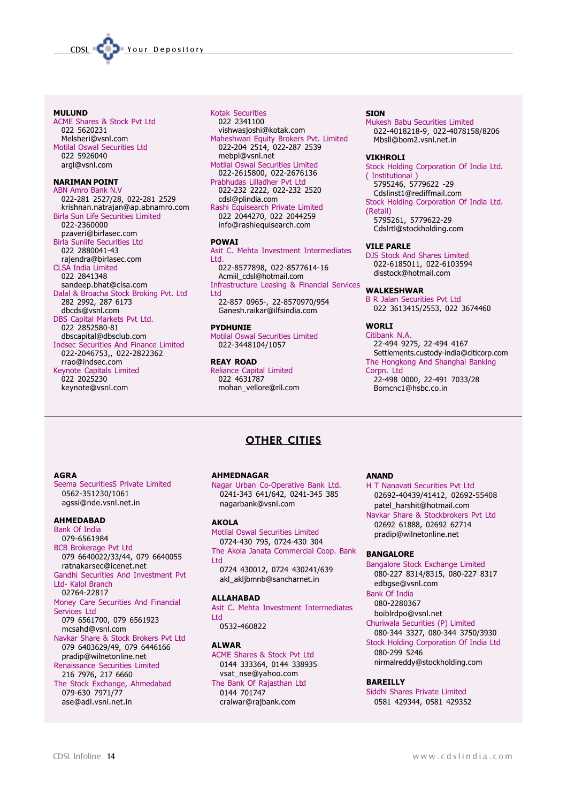

#### MULUND

ACME Shares & Stock Pvt Ltd 022 5620231 Melsheri@vsnl.com Motilal Oswal Securities Ltd 022 5926040 argl@vsnl.com

#### NARIMAN POINT

ABN Amro Bank N.V 022-281 2527/28, 022-281 2529 krishnan.natrajan@ap.abnamro.com Birla Sun Life Securities Limited 022-2360000 pzaveri@birlasec.com Birla Sunlife Securities Ltd 022 2880041-43 rajendra@birlasec.com CLSA India Limited 022 2841348 sandeep.bhat@clsa.com Dalal & Broacha Stock Broking Pvt. Ltd 282 2992, 287 6173 dbcds@vsnl.com DBS Capital Markets Pvt Ltd. 022 2852580-81 dbscapital@dbsclub.com Indsec Securities And Finance Limited 022-2046753,, 022-2822362 rrao@indsec.com Keynote Capitals Limited 022 2025230 keynote@vsnl.com

#### Kotak Securities

022 2341100 vishwasjoshi@kotak.com Maheshwari Equity Brokers Pvt. Limited 022-204 2514, 022-287 2539 mebpl@vsnl.net Motilal Oswal Securities Limited 022-2615800, 022-2676136 Prabhudas Lilladher Pvt Ltd 022-232 2222, 022-232 2520 cdsl@plindia.com Rashi Equisearch Private Limited 022 2044270, 022 2044259 info@rashiequisearch.com

#### POWAI

Asit C. Mehta Investment Intermediates Ltd. 022-8577898, 022-8577614-16 Acmiil\_cdsl@hotmail.com Infrastructure Leasing & Financial Services Ltd

22-857 0965-, 22-8570970/954 Ganesh.raikar@ilfsindia.com

#### PYDHUNIE

Motilal Oswal Securities Limited 022-3448104/1057

#### REAY ROAD Reliance Capital Limited 022 4631787 mohan\_vellore@ril.com

#### **STON**

Mukesh Babu Securities Limited 022-4018218-9, 022-4078158/8206 Mbsll@bom2.vsnl.net.in

#### VIKHROLI

Stock Holding Corporation Of India Ltd. ( Institutional ) 5795246, 5779622 -29 Cdslinst1@rediffmail.com Stock Holding Corporation Of India Ltd. (Retail) 5795261, 5779622-29 Cdslrtl@stockholding.com

#### VILE PARLE

DJS Stock And Shares Limited 022-6185011, 022-6103594 disstock@hotmail.com

#### WALKESHWAR

B R Jalan Securities Pvt Ltd 022 3613415/2553, 022 3674460

#### WORLI

Citibank N.A. 22-494 9275, 22-494 4167 Settlements.custody-india@citicorp.com The Hongkong And Shanghai Banking Corpn. Ltd 22-498 0000, 22-491 7033/28 Bomcnc1@hsbc.co.in

### **OTHER CITIES**

#### AGRA

Seema SecuritiesS Private Limited 0562-351230/1061 agssi@nde.vsnl.net.in

### AHMEDABAD

Bank Of India 079-6561984 BCB Brokerage Pvt Ltd 079 6640022/33/44, 079 6640055 ratnakarsec@icenet.net Gandhi Securities And Investment Pvt Ltd- Kalol Branch 02764-22817 Money Care Securities And Financial Services Ltd 079 6561700, 079 6561923 mcsahd@vsnl.com Navkar Share & Stock Brokers Pvt Ltd 079 6403629/49, 079 6446166 pradip@wilnetonline.net Renaissance Securities Limited 216 7976, 217 6660 The Stock Exchange, Ahmedabad 079-630 7971/77 ase@adl.vsnl.net.in

### AHMEDNAGAR

Nagar Urban Co-Operative Bank Ltd. 0241-343 641/642, 0241-345 385 nagarbank@vsnl.com

#### AKOLA

Motilal Oswal Securities Limited 0724-430 795, 0724-430 304 The Akola Janata Commercial Coop. Bank Ltd 0724 430012, 0724 430241/639 akl\_akljbmnb@sancharnet.in

#### ALLAHABAD

Asit C. Mehta Investment Intermediates Ltd 0532-460822

#### ALWAR

ACME Shares & Stock Pvt Ltd 0144 333364, 0144 338935 vsat\_nse@yahoo.com The Bank Of Rajasthan Ltd 0144 701747 cralwar@rajbank.com

#### ANAND

H T Nanavati Securities Pvt Ltd 02692-40439/41412, 02692-55408 patel\_harshit@hotmail.com Navkar Share & Stockbrokers Pvt Ltd 02692 61888, 02692 62714 pradip@wilnetonline.net

#### BANGALORE

Bangalore Stock Exchange Limited 080-227 8314/8315, 080-227 8317 edbgse@vsnl.com

#### Bank Of India 080-2280367

boiblrdpo@vsnl.net

Churiwala Securities (P) Limited 080-344 3327, 080-344 3750/3930

Stock Holding Corporation Of India Ltd 080-299 5246 nirmalreddy@stockholding.com

#### BAREILLY

Siddhi Shares Private Limited 0581 429344, 0581 429352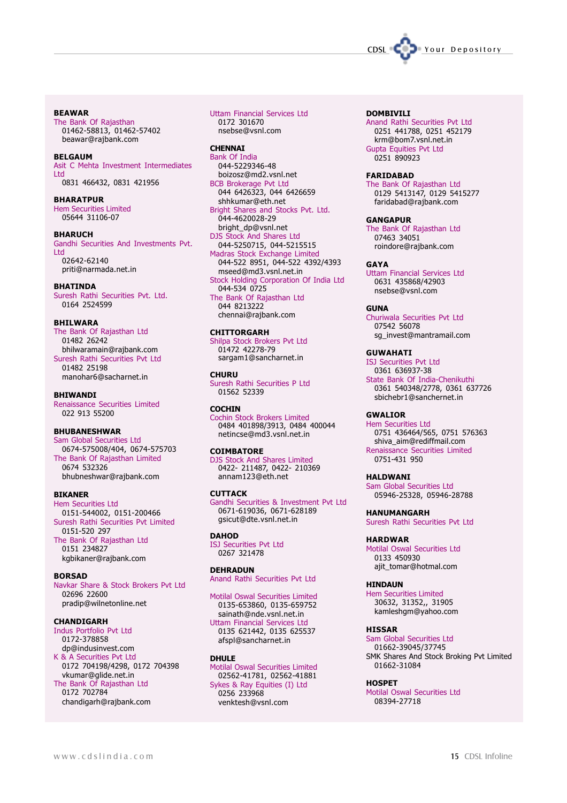#### BEAWAR

The Bank Of Rajasthan 01462-58813, 01462-57402 beawar@rajbank.com

#### BELGAUM

Asit C Mehta Investment Intermediates Ltd 0831 466432, 0831 421956

#### BHARATPUR Hem Securities Limited 05644 31106-07

**BHARUCH** Gandhi Securities And Investments Pvt. Ltd 02642-62140 priti@narmada.net.in

#### BHATINDA

Suresh Rathi Securities Pvt. Ltd. 0164 2524599

#### BHILWARA

The Bank Of Rajasthan Ltd 01482 26242 bhilwaramain@rajbank.com Suresh Rathi Securities Pvt Ltd 01482 25198 manohar6@sacharnet.in

#### **BHIWANDI**

Renaissance Securities Limited 022 913 55200

#### BHUBANESHWAR

Sam Global Securities Ltd 0674-575008/404, 0674-575703 The Bank Of Rajasthan Limited 0674 532326 bhubneshwar@rajbank.com

#### BIKANER

Hem Securities Ltd 0151-544002, 0151-200466 Suresh Rathi Securities Pvt Limited 0151-520 297 The Bank Of Rajasthan Ltd 0151 234827 kgbikaner@rajbank.com

#### BORSAD

Navkar Share & Stock Brokers Pvt Ltd 02696 22600 pradip@wilnetonline.net

#### CHANDIGARH

Indus Portfolio Pvt Ltd 0172-378858 dp@indusinvest.com K & A Securities Pvt Ltd 0172 704198/4298, 0172 704398 vkumar@glide.net.in The Bank Of Rajasthan Ltd 0172 702784 chandigarh@rajbank.com

#### Uttam Financial Services Ltd 0172 301670 nsebse@vsnl.com

**CHENNAI** Bank Of India 044-5229346-48 boizosz@md2.vsnl.net BCB Brokerage Pvt Ltd 044 6426323, 044 6426659 shhkumar@eth.net Bright Shares and Stocks Pvt. Ltd. 044-4620028-29 bright\_dp@vsnl.net DJS Stock And Shares Ltd 044-5250715, 044-5215515 Madras Stock Exchange Limited 044-522 8951, 044-522 4392/4393 mseed@md3.vsnl.net.in Stock Holding Corporation Of India Ltd 044-534 0725 The Bank Of Rajasthan Ltd 044 8213222 chennai@rajbank.com

#### **CHITTORGARH**

Shilpa Stock Brokers Pvt Ltd 01472 42278-79 sargam1@sancharnet.in

**CHURU** Suresh Rathi Securities P Ltd 01562 52339

#### **COCHIN**

Cochin Stock Brokers Limited 0484 401898/3913, 0484 400044 netincse@md3.vsnl.net.in

#### **COIMBATORE**

DJS Stock And Shares Limited 0422- 211487, 0422- 210369 annam123@eth.net

#### **CUTTACK**

Gandhi Securities & Investment Pvt Ltd 0671-619036, 0671-628189 gsicut@dte.vsnl.net.in

#### **DAHOD**

ISJ Securities Pvt Ltd 0267 321478

#### DEHRADUN

Anand Rathi Securities Pvt Ltd

Motilal Oswal Securities Limited 0135-653860, 0135-659752 sainath@nde.vsnl.net.in Uttam Financial Services Ltd 0135 621442, 0135 625537 afspl@sancharnet.in

#### DHULE

Motilal Oswal Securities Limited 02562-41781, 02562-41881 Sykes & Ray Equities (I) Ltd 0256 233968 venktesh@vsnl.com

#### DOMRTVTI T

Anand Rathi Securities Pvt Ltd 0251 441788, 0251 452179 krm@bom7.vsnl.net.in Gupta Equities Pvt Ltd 0251 890923

#### **FARIDARAD**

The Bank Of Rajasthan Ltd 0129 5413147, 0129 5415277 faridabad@rajbank.com

#### GANGAPUR

The Bank Of Rajasthan Ltd 07463 34051 roindore@rajbank.com

#### GAYA

Uttam Financial Services Ltd 0631 435868/42903 nsebse@vsnl.com

#### **GUNA**

Churiwala Securities Pvt Ltd 07542 56078 sg\_invest@mantramail.com

#### **GUWAHATI**

ISJ Securities Pvt Ltd 0361 636937-38 State Bank Of India-Chenikuthi 0361 540348/2778, 0361 637726 sbichebr1@sanchernet.in

#### GWALIOR

Hem Securities Ltd 0751 436464/565, 0751 576363 shiva\_aim@rediffmail.com Renaissance Securities Limited 0751-431 950

#### HALDWANI

Sam Global Securities Ltd 05946-25328, 05946-28788

#### HANUMANGARH

Suresh Rathi Securities Pvt Ltd

#### HARDWAR

Motilal Oswal Securities Ltd 0133 450930 ajit\_tomar@hotmal.com

#### HINDAUN

Hem Securities Limited 30632, 31352,, 31905 kamleshgm@yahoo.com

#### **HISSAR**

Sam Global Securities Ltd 01662-39045/37745 SMK Shares And Stock Broking Pvt Limited 01662-31084

#### **HOSPET**

Motilal Oswal Securities Ltd 08394-27718

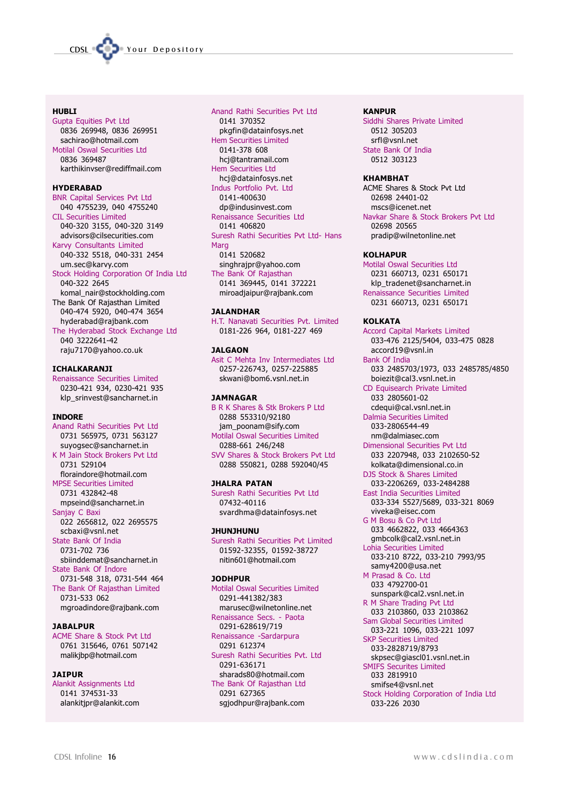

#### **HURLT**

Gupta Equities Pvt Ltd 0836 269948, 0836 269951 sachirao@hotmail.com Motilal Oswal Securities Ltd 0836 369487 karthikinvser@rediffmail.com

#### HYDERABAD

BNR Capital Services Pvt Ltd 040 4755239, 040 4755240 CIL Securities Limited 040-320 3155, 040-320 3149 advisors@cilsecurities.com Karvy Consultants Limited 040-332 5518, 040-331 2454 um.sec@karvy.com Stock Holding Corporation Of India Ltd 040-322 2645 komal\_nair@stockholding.com The Bank Of Rajasthan Limited 040-474 5920, 040-474 3654 hyderabad@rajbank.com The Hyderabad Stock Exchange Ltd 040 3222641-42 raju7170@yahoo.co.uk

#### ICHALKARANJI

Renaissance Securities Limited 0230-421 934, 0230-421 935 klp\_srinvest@sancharnet.in

#### **INDORF**

Anand Rathi Securities Pvt Ltd 0731 565975, 0731 563127 suyogsec@sancharnet.in K M Jain Stock Brokers Pvt Ltd 0731 529104 floraindore@hotmail.com MPSE Securities Limited 0731 432842-48 mpseind@sancharnet.in Sanjay C Baxi 022 2656812, 022 2695575 scbaxi@vsnl.net State Bank Of India 0731-702 736 sbiinddemat@sancharnet.in State Bank Of Indore 0731-548 318, 0731-544 464 The Bank Of Rajasthan Limited 0731-533 062 mgroadindore@rajbank.com

#### **JABALPUR**

ACME Share & Stock Pvt Ltd 0761 315646, 0761 507142 malikjbp@hotmail.com

#### JAIPUR

Alankit Assignments Ltd 0141 374531-33 alankitjpr@alankit.com

### Anand Rathi Securities Pvt Ltd

0141 370352 pkgfin@datainfosys.net Hem Securities Limited 0141-378 608 hcj@tantramail.com Hem Securities Ltd hcj@datainfosys.net Indus Portfolio Pvt. Ltd 0141-400630 dp@indusinvest.com Renaissance Securities Ltd 0141 406820 Suresh Rathi Securities Pvt Ltd- Hans **Marg** 0141 520682 singhrajpr@yahoo.com The Bank Of Rajasthan 0141 369445, 0141 372221 miroadjaipur@rajbank.com

#### JALANDHAR

H.T. Nanavati Securities Pvt. Limited 0181-226 964, 0181-227 469

#### **JALGAON**

Asit C Mehta Inv Intermediates Ltd 0257-226743, 0257-225885 skwani@bom6.vsnl.net.in

#### JAMNAGAR

B R K Shares & Stk Brokers P Ltd 0288 553310/92180 jam\_poonam@sify.com Motilal Oswal Securities Limited 0288-661 246/248 SVV Shares & Stock Brokers Pvt Ltd 0288 550821, 0288 592040/45

#### JHALRA PATAN

Suresh Rathi Securities Pvt Ltd 07432-40116 svardhma@datainfosys.net

#### JHUNJHUNU

Suresh Rathi Securities Pvt Limited 01592-32355, 01592-38727 nitin601@hotmail.com

#### JODHPUR

Motilal Oswal Securities Limited 0291-441382/383 marusec@wilnetonline.net Renaissance Secs. - Paota 0291-628619/719 Renaissance -Sardarpura 0291 612374 Suresh Rathi Securities Pvt. Ltd 0291-636171 sharads80@hotmail.com The Bank Of Rajasthan Ltd 0291 627365 sgjodhpur@rajbank.com

#### KANPUR

Siddhi Shares Private Limited 0512 305203 srfl@vsnl.net State Bank Of India 0512 303123

#### KHAMBHAT

ACME Shares & Stock Pvt Ltd 02698 24401-02 mscs@icenet.net Navkar Share & Stock Brokers Pvt Ltd 02698 20565 pradip@wilnetonline.net

#### KOLHAPUR

Motilal Oswal Securities Ltd 0231 660713, 0231 650171 klp\_tradenet@sancharnet.in Renaissance Securities Limited 0231 660713, 0231 650171

#### **KOLKATA**

Accord Capital Markets Limited 033-476 2125/5404, 033-475 0828 accord19@vsnl.in Bank Of India 033 2485703/1973, 033 2485785/4850 boiezit@cal3.vsnl.net.in CD Equisearch Private Limited 033 2805601-02 cdequi@cal.vsnl.net.in Dalmia Securities Limited 033-2806544-49 nm@dalmiasec.com Dimensional Securities Pvt Ltd 033 2207948, 033 2102650-52 kolkata@dimensional.co.in DJS Stock & Shares Limited 033-2206269, 033-2484288 East India Securities Limited 033-334 5527/5689, 033-321 8069 viveka@eisec.com G M Bosu & Co Pvt Ltd 033 4662822, 033 4664363 gmbcolk@cal2.vsnl.net.in Lohia Securities Limited 033-210 8722, 033-210 7993/95 samy4200@usa.net M Prasad & Co. Ltd 033 4792700-01 sunspark@cal2.vsnl.net.in R M Share Trading Pvt Ltd 033 2103860, 033 2103862 Sam Global Securities Limited 033-221 1096, 033-221 1097 SKP Securities Limited 033-2828719/8793 skpsec@giascl01.vsnl.net.in SMIFS Securites Limited 033 2819910 smifse4@vsnl.net Stock Holding Corporation of India Ltd 033-226 2030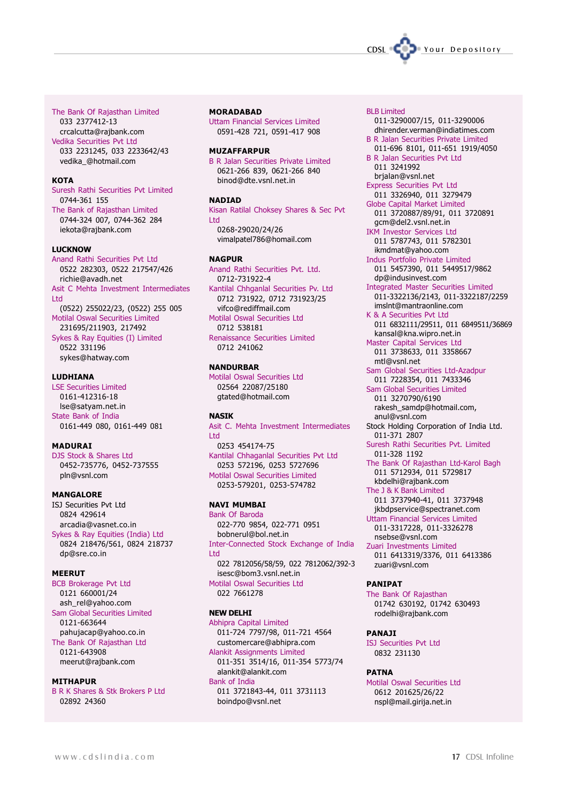

#### The Bank Of Rajasthan Limited

033 2377412-13 crcalcutta@rajbank.com Vedika Securities Pvt Ltd 033 2231245, 033 2233642/43 vedika\_@hotmail.com

#### **KOTA**

Suresh Rathi Securities Pvt Limited 0744-361 155

The Bank of Rajasthan Limited 0744-324 007, 0744-362 284 iekota@rajbank.com

#### LUCKNOW

Anand Rathi Securities Pvt Ltd 0522 282303, 0522 217547/426 richie@avadh.net Asit C Mehta Investment Intermediates Ltd (0522) 255022/23, (0522) 255 005 Motilal Oswal Securities Limited 231695/211903, 217492 Sykes & Ray Equities (I) Limited 0522 331196 sykes@hatway.com

#### LUDHIANA

LSE Securities Limited 0161-412316-18 lse@satyam.net.in State Bank of India 0161-449 080, 0161-449 081

#### MADURAI

DJS Stock & Shares Ltd 0452-735776, 0452-737555 pln@vsnl.com

#### MANGALORE

ISJ Securities Pvt Ltd 0824 429614 arcadia@vasnet.co.in Sykes & Ray Equities (India) Ltd 0824 218476/561, 0824 218737 dp@sre.co.in

#### MEERUT

BCB Brokerage Pvt Ltd 0121 660001/24 ash\_rel@yahoo.com Sam Global Securities Limited 0121-663644 pahujacap@yahoo.co.in The Bank Of Rajasthan Ltd 0121-643908 meerut@rajbank.com

#### MITHAPUR

B R K Shares & Stk Brokers P Ltd 02892 24360

#### **MORADABAD**

Uttam Financial Services Limited 0591-428 721, 0591-417 908

#### **MUZAFFARPUR**

B R Jalan Securities Private Limited 0621-266 839, 0621-266 840 binod@dte.vsnl.net.in

#### NADIAD

Kisan Ratilal Choksey Shares & Sec Pvt Ltd 0268-29020/24/26 vimalpatel786@homail.com

#### **NAGPUR**

Anand Rathi Securities Pvt. Ltd. 0712-731922-4 Kantilal Chhganlal Securities Pv. Ltd 0712 731922, 0712 731923/25 vifco@rediffmail.com Motilal Oswal Securities Ltd 0712 538181 Renaissance Securities Limited 0712 241062

#### NANDURBAR

Motilal Oswal Securities Ltd 02564 22087/25180 gtated@hotmail.com

#### **NASTK**

Asit C. Mehta Investment Intermediates Ltd 0253 454174-75 Kantilal Chhaganlal Securities Pvt Ltd 0253 572196, 0253 5727696 Motilal Oswal Securities Limited 0253-579201, 0253-574782

### NAVI MUMBAI

Bank Of Baroda 022-770 9854, 022-771 0951 bobnerul@bol.net.in Inter-Connected Stock Exchange of India Ltd 022 7812056/58/59, 022 7812062/392-3 isesc@bom3.vsnl.net.in Motilal Oswal Securities Ltd 022 7661278

#### NEW DELHI

Abhipra Capital Limited 011-724 7797/98, 011-721 4564 customercare@abhipra.com Alankit Assignments Limited 011-351 3514/16, 011-354 5773/74 alankit@alankit.com Bank of India 011 3721843-44, 011 3731113

boindpo@vsnl.net

#### BLB Limited

011-3290007/15, 011-3290006 dhirender.verman@indiatimes.com

B R Jalan Securities Private Limited 011-696 8101, 011-651 1919/4050 B R Jalan Securities Pvt Ltd

011 3241992 brjalan@vsnl.net

- Express Securities Pvt Ltd 011 3326940, 011 3279479
- Globe Capital Market Limited 011 3720887/89/91, 011 3720891 gcm@del2.vsnl.net.in IKM Investor Services Ltd
- 011 5787743, 011 5782301 ikmdmat@yahoo.com

Indus Portfolio Private Limited 011 5457390, 011 5449517/9862 dp@indusinvest.com

- Integrated Master Securities Limited 011-3322136/2143, 011-3322187/2259 imslnt@mantraonline.com
- K & A Securities Pvt Ltd 011 6832111/29511, 011 6849511/36869

kansal@kna.wipro.net.in Master Capital Services Ltd 011 3738633, 011 3358667 mtl@vsnl.net

Sam Global Securities Ltd-Azadpur 011 7228354, 011 7433346

Sam Global Securities Limited 011 3270790/6190 rakesh\_samdp@hotmail.com,

- anul@vsnl.com Stock Holding Corporation of India Ltd.
- 011-371 2807 Suresh Rathi Securities Pvt. Limited 011-328 1192
- The Bank Of Rajasthan Ltd-Karol Bagh 011 5712934, 011 5729817 kbdelhi@rajbank.com

The J & K Bank Limited 011 3737940-41, 011 3737948 jkbdpservice@spectranet.com Uttam Financial Services Limited 011-3317228, 011-3326278

nsebse@vsnl.com Zuari Investments Limited 011 6413319/3376, 011 6413386 zuari@vsnl.com

#### PANIPAT

The Bank Of Rajasthan 01742 630192, 01742 630493 rodelhi@rajbank.com

#### PANAJI

ISJ Securities Pvt Ltd 0832 231130

#### PATNA

Motilal Oswal Securities Ltd 0612 201625/26/22 nspl@mail.girija.net.in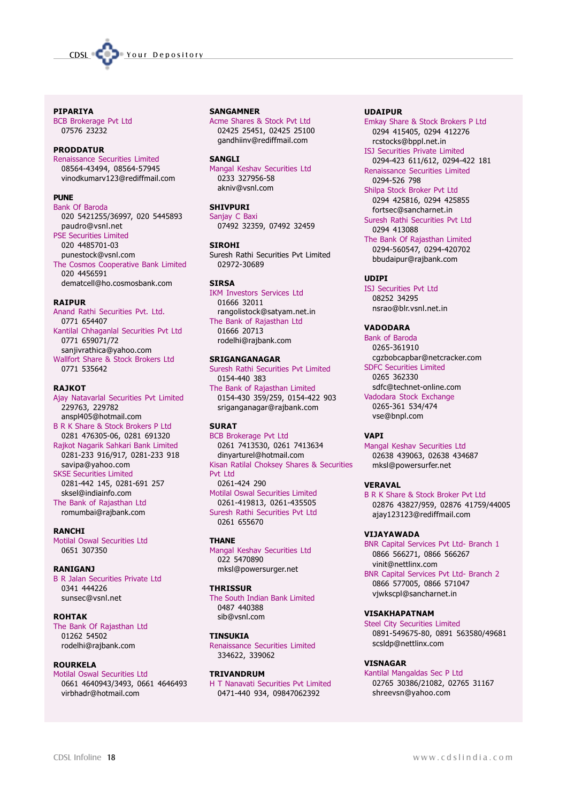

#### PIPARIYA

BCB Brokerage Pvt Ltd 07576 23232

#### PRODDATUR

Renaissance Securities Limited 08564-43494, 08564-57945 vinodkumarv123@rediffmail.com

#### **DUNE**

Bank Of Baroda 020 5421255/36997, 020 5445893 paudro@vsnl.net PSE Securities Limited 020 4485701-03 punestock@vsnl.com The Cosmos Cooperative Bank Limited 020 4456591 dematcell@ho.cosmosbank.com

#### RAIPUR

Anand Rathi Securities Pvt. Ltd. 0771 654407 Kantilal Chhaganlal Securities Pvt Ltd

0771 659071/72 sanjivrathica@yahoo.com Wallfort Share & Stock Brokers Ltd 0771 535642

#### RAJKOT

Ajay Natavarlal Securities Pvt Limited 229763, 229782 anspl405@hotmail.com B R K Share & Stock Brokers P Ltd 0281 476305-06, 0281 691320 Rajkot Nagarik Sahkari Bank Limited 0281-233 916/917, 0281-233 918 savipa@yahoo.com SKSE Securities Limited 0281-442 145, 0281-691 257 sksel@indiainfo.com The Bank of Rajasthan Ltd romumbai@rajbank.com

**RANCHI** Motilal Oswal Securities Ltd 0651 307350

#### RANIGANJ

B R Jalan Securities Private Ltd 0341 444226 sunsec@vsnl.net

#### ROHTAK

The Bank Of Rajasthan Ltd 01262 54502 rodelhi@rajbank.com

#### ROURKELA

Motilal Oswal Securities Ltd 0661 4640943/3493, 0661 4646493 virbhadr@hotmail.com

**SANGAMNER** 

Acme Shares & Stock Pvt Ltd 02425 25451, 02425 25100 gandhiinv@rediffmail.com

#### **SANGLI**

Mangal Keshav Securities Ltd 0233 327956-58 akniv@vsnl.com

### SHIVPURI

Sanjay C Baxi 07492 32359, 07492 32459

#### SIROHI

Suresh Rathi Securities Pvt Limited 02972-30689

#### **STRSA**

IKM Investors Services Ltd 01666 32011 rangolistock@satyam.net.in The Bank of Rajasthan Ltd 01666 20713 rodelhi@rajbank.com

#### SRIGANGANAGAR

Suresh Rathi Securities Pvt Limited 0154-440 383 The Bank of Rajasthan Limited 0154-430 359/259, 0154-422 903 sriganganagar@rajbank.com

#### **SURAT**

BCB Brokerage Pvt Ltd 0261 7413530, 0261 7413634 dinyarturel@hotmail.com Kisan Ratilal Choksey Shares & Securities Pvt Ltd 0261-424 290 Motilal Oswal Securities Limited 0261-419813, 0261-435505 Suresh Rathi Securities Pvt Ltd 0261 655670

#### **THANF**

Mangal Keshav Securities Ltd 022 5470890 mksl@powersurger.net

#### **THRISSUR**

The South Indian Bank Limited 0487 440388 sib@vsnl.com

#### TINSUKIA

Renaissance Securities Limited 334622, 339062

#### TRIVANDRUM

H T Nanavati Securities Pvt Limited 0471-440 934, 09847062392

#### UDAIPUR

Emkay Share & Stock Brokers P Ltd 0294 415405, 0294 412276 rcstocks@bppl.net.in

ISJ Securities Private Limited 0294-423 611/612, 0294-422 181 Renaissance Securities Limited

0294-526 798 Shilpa Stock Broker Pvt Ltd 0294 425816, 0294 425855 fortsec@sancharnet.in

Suresh Rathi Securities Pvt Ltd 0294 413088

The Bank Of Rajasthan Limited 0294-560547, 0294-420702 bbudaipur@rajbank.com

#### UDIPI

ISJ Securities Pvt Ltd 08252 34295 nsrao@blr.vsnl.net.in

#### VADODARA

Bank of Baroda 0265-361910 cgzbobcapbar@netcracker.com SDFC Securities Limited 0265 362330 sdfc@technet-online.com Vadodara Stock Exchange 0265-361 534/474 vse@bnpl.com

#### VAPI

Mangal Keshav Securities Ltd 02638 439063, 02638 434687 mksl@powersurfer.net

#### VERAVAL

B R K Share & Stock Broker Pvt Ltd 02876 43827/959, 02876 41759/44005 ajay123123@rediffmail.com

#### VIJAYAWADA

BNR Capital Services Pvt Ltd- Branch 1 0866 566271, 0866 566267 vinit@nettlinx.com

BNR Capital Services Pvt Ltd- Branch 2 0866 577005, 0866 571047 vjwkscpl@sancharnet.in

#### VISAKHAPATNAM

Steel City Securities Limited 0891-549675-80, 0891 563580/49681 scsldp@nettlinx.com

#### VISNAGAR

Kantilal Mangaldas Sec P Ltd 02765 30386/21082, 02765 31167 shreevsn@yahoo.com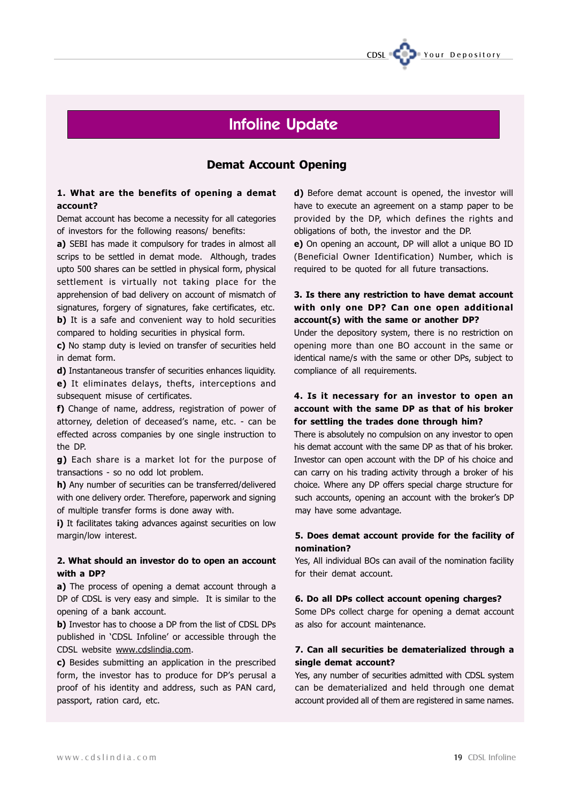

# Infoline Update

### Demat Account Opening

### 1. What are the benefits of opening a demat account?

Demat account has become a necessity for all categories of investors for the following reasons/ benefits:

a) SEBI has made it compulsory for trades in almost all scrips to be settled in demat mode. Although, trades upto 500 shares can be settled in physical form, physical settlement is virtually not taking place for the apprehension of bad delivery on account of mismatch of signatures, forgery of signatures, fake certificates, etc. b) It is a safe and convenient way to hold securities compared to holding securities in physical form.

c) No stamp duty is levied on transfer of securities held in demat form.

d) Instantaneous transfer of securities enhances liquidity. e) It eliminates delays, thefts, interceptions and subsequent misuse of certificates.

f) Change of name, address, registration of power of attorney, deletion of deceased's name, etc. - can be effected across companies by one single instruction to the DP.

g) Each share is a market lot for the purpose of transactions - so no odd lot problem.

h) Any number of securities can be transferred/delivered with one delivery order. Therefore, paperwork and signing of multiple transfer forms is done away with.

i) It facilitates taking advances against securities on low margin/low interest.

### 2. What should an investor do to open an account with a DP?

a) The process of opening a demat account through a DP of CDSL is very easy and simple. It is similar to the opening of a bank account.

**b)** Investor has to choose a DP from the list of CDSL DPs published in 'CDSL Infoline' or accessible through the CDSL website www.cdslindia.com.

c) Besides submitting an application in the prescribed form, the investor has to produce for DP's perusal a proof of his identity and address, such as PAN card, passport, ration card, etc.

d) Before demat account is opened, the investor will have to execute an agreement on a stamp paper to be provided by the DP, which defines the rights and obligations of both, the investor and the DP.

e) On opening an account, DP will allot a unique BO ID (Beneficial Owner Identification) Number, which is required to be quoted for all future transactions.

### 3. Is there any restriction to have demat account with only one DP? Can one open additional account(s) with the same or another DP?

Under the depository system, there is no restriction on opening more than one BO account in the same or identical name/s with the same or other DPs, subject to compliance of all requirements.

### 4. Is it necessary for an investor to open an account with the same DP as that of his broker for settling the trades done through him?

There is absolutely no compulsion on any investor to open his demat account with the same DP as that of his broker. Investor can open account with the DP of his choice and can carry on his trading activity through a broker of his choice. Where any DP offers special charge structure for such accounts, opening an account with the broker's DP may have some advantage.

### 5. Does demat account provide for the facility of nomination?

Yes, All individual BOs can avail of the nomination facility for their demat account.

#### 6. Do all DPs collect account opening charges?

Some DPs collect charge for opening a demat account as also for account maintenance.

### 7. Can all securities be dematerialized through a single demat account?

Yes, any number of securities admitted with CDSL system can be dematerialized and held through one demat account provided all of them are registered in same names.